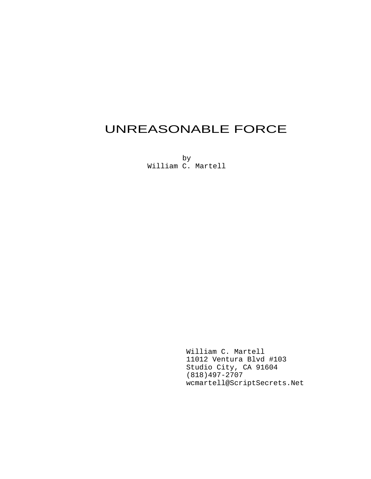# UNREASONABLE FORCE

by William C. Martell

> William C. Martell 11012 Ventura Blvd #103 Studio City, CA 91604 (818)497-2707 wcmartell@ScriptSecrets.Net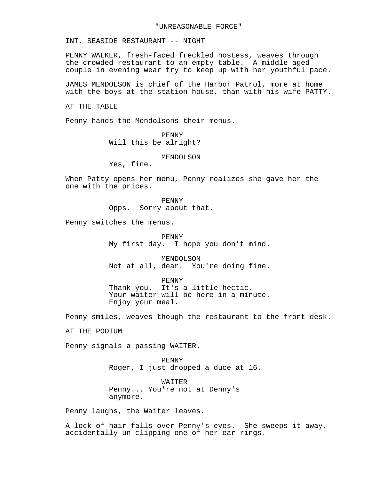INT. SEASIDE RESTAURANT -- NIGHT

PENNY WALKER, fresh-faced freckled hostess, weaves through the crowded restaurant to an empty table. A middle aged couple in evening wear try to keep up with her youthful pace.

JAMES MENDOLSON is chief of the Harbor Patrol, more at home with the boys at the station house, than with his wife PATTY.

AT THE TABLE

Penny hands the Mendolsons their menus.

PENNY Will this be alright?

MENDOLSON

Yes, fine.

When Patty opens her menu, Penny realizes she gave her the one with the prices.

> PENNY Opps. Sorry about that.

Penny switches the menus.

PENNY My first day. I hope you don't mind.

MENDOLSON Not at all, dear. You're doing fine.

PENNY Thank you. It's a little hectic. Your waiter will be here in a minute. Enjoy your meal.

Penny smiles, weaves though the restaurant to the front desk.

AT THE PODIUM

Penny signals a passing WAITER.

PENNY Roger, I just dropped a duce at 16.

WATTER Penny... You're not at Denny's anymore.

Penny laughs, the Waiter leaves.

A lock of hair falls over Penny's eyes. She sweeps it away, accidentally un-clipping one of her ear rings.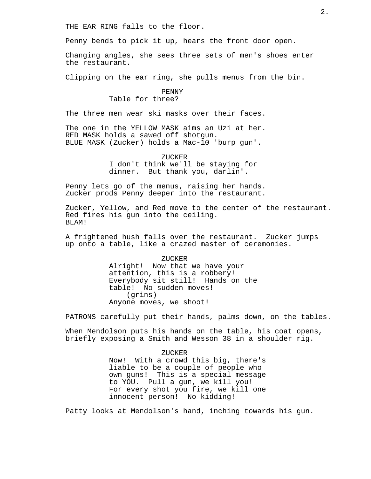THE EAR RING falls to the floor.

Penny bends to pick it up, hears the front door open.

Changing angles, she sees three sets of men's shoes enter the restaurant.

Clipping on the ear ring, she pulls menus from the bin.

# PENNY

Table for three?

The three men wear ski masks over their faces.

The one in the YELLOW MASK aims an Uzi at her. RED MASK holds a sawed off shotgun. BLUE MASK (Zucker) holds a Mac-10 'burp gun'.

ZUCKER

I don't think we'll be staying for dinner. But thank you, darlin'.

Penny lets go of the menus, raising her hands. Zucker prods Penny deeper into the restaurant.

Zucker, Yellow, and Red move to the center of the restaurant. Red fires his gun into the ceiling. BLAM!

A frightened hush falls over the restaurant. Zucker jumps up onto a table, like a crazed master of ceremonies.

> ZUCKER Alright! Now that we have your attention, this is a robbery! Everybody sit still! Hands on the table! No sudden moves! (grins) Anyone moves, we shoot!

PATRONS carefully put their hands, palms down, on the tables.

When Mendolson puts his hands on the table, his coat opens, briefly exposing a Smith and Wesson 38 in a shoulder rig.

> ZUCKER Now! With a crowd this big, there's liable to be a couple of people who own guns! This is a special message to YOU. Pull a gun, we kill you! For every shot you fire, we kill one innocent person! No kidding!

Patty looks at Mendolson's hand, inching towards his gun.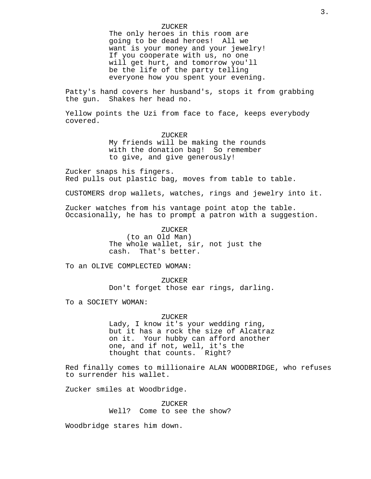# ZUCKER

The only heroes in this room are going to be dead heroes! All we want is your money and your jewelry! If you cooperate with us, no one will get hurt, and tomorrow you'll be the life of the party telling everyone how you spent your evening.

Patty's hand covers her husband's, stops it from grabbing<br>the qun. Shakes her head no. Shakes her head no.

Yellow points the Uzi from face to face, keeps everybody covered.

> ZUCKER My friends will be making the rounds with the donation bag! So remember to give, and give generously!

Zucker snaps his fingers. Red pulls out plastic bag, moves from table to table.

CUSTOMERS drop wallets, watches, rings and jewelry into it.

Zucker watches from his vantage point atop the table. Occasionally, he has to prompt a patron with a suggestion.

## ZUCKER

(to an Old Man) The whole wallet, sir, not just the cash. That's better.

To an OLIVE COMPLECTED WOMAN:

ZUCKER Don't forget those ear rings, darling.

To a SOCIETY WOMAN:

#### ZUCKER

Lady, I know it's your wedding ring, but it has a rock the size of Alcatraz on it. Your hubby can afford another one, and if not, well, it's the thought that counts. Right?

Red finally comes to millionaire ALAN WOODBRIDGE, who refuses to surrender his wallet.

Zucker smiles at Woodbridge.

ZUCKER Well? Come to see the show?

Woodbridge stares him down.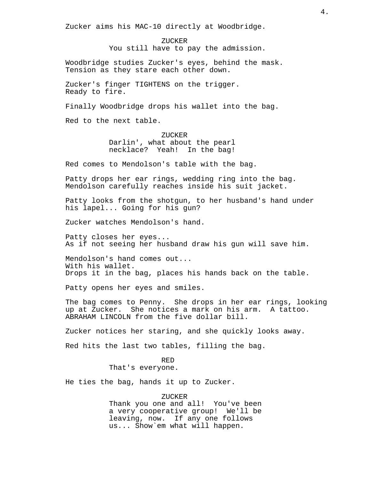Zucker aims his MAC-10 directly at Woodbridge.

ZUCKER You still have to pay the admission.

Woodbridge studies Zucker's eyes, behind the mask. Tension as they stare each other down.

Zucker's finger TIGHTENS on the trigger. Ready to fire.

Finally Woodbridge drops his wallet into the bag.

Red to the next table.

ZUCKER Darlin', what about the pearl necklace? Yeah! In the bag!

Red comes to Mendolson's table with the bag.

Patty drops her ear rings, wedding ring into the bag. Mendolson carefully reaches inside his suit jacket.

Patty looks from the shotgun, to her husband's hand under his lapel... Going for his gun?

Zucker watches Mendolson's hand.

Patty closes her eyes... As if not seeing her husband draw his gun will save him.

Mendolson's hand comes out... With his wallet. Drops it in the bag, places his hands back on the table.

Patty opens her eyes and smiles.

The bag comes to Penny. She drops in her ear rings, looking up at Zucker. She notices a mark on his arm. A tattoo. ABRAHAM LINCOLN from the five dollar bill.

Zucker notices her staring, and she quickly looks away.

Red hits the last two tables, filling the bag.

RED That's everyone.

He ties the bag, hands it up to Zucker.

ZUCKER

Thank you one and all! You've been a very cooperative group! We'll be leaving, now. If any one follows us... Show`em what will happen.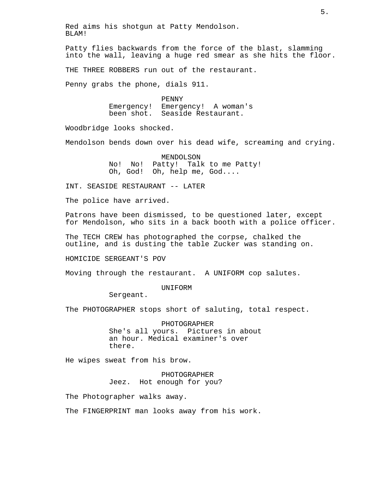Patty flies backwards from the force of the blast, slamming into the wall, leaving a huge red smear as she hits the floor.

THE THREE ROBBERS run out of the restaurant.

Penny grabs the phone, dials 911.

PENNY Emergency! Emergency! A woman's been shot. Seaside Restaurant.

Woodbridge looks shocked.

Mendolson bends down over his dead wife, screaming and crying.

MENDOLSON No! No! Patty! Talk to me Patty! Oh, God! Oh, help me, God....

INT. SEASIDE RESTAURANT -- LATER

The police have arrived.

Patrons have been dismissed, to be questioned later, except for Mendolson, who sits in a back booth with a police officer.

The TECH CREW has photographed the corpse, chalked the outline, and is dusting the table Zucker was standing on.

HOMICIDE SERGEANT'S POV

Moving through the restaurant. A UNIFORM cop salutes.

#### **IINTFORM**

Sergeant.

The PHOTOGRAPHER stops short of saluting, total respect.

PHOTOGRAPHER She's all yours. Pictures in about an hour. Medical examiner's over there.

He wipes sweat from his brow.

PHOTOGRAPHER Jeez. Hot enough for you?

The Photographer walks away.

The FINGERPRINT man looks away from his work.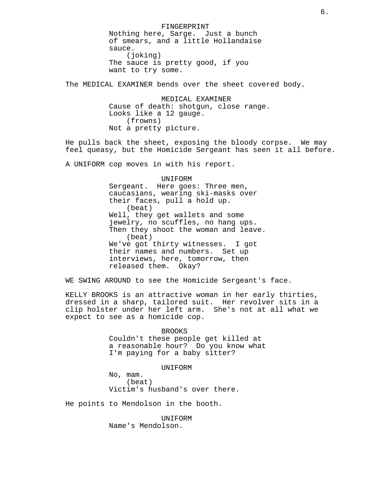FINGERPRINT Nothing here, Sarge. Just a bunch of smears, and a little Hollandaise sauce. (joking) The sauce is pretty good, if you want to try some.

The MEDICAL EXAMINER bends over the sheet covered body.

MEDICAL EXAMINER Cause of death: shotgun, close range. Looks like a 12 gauge. (frowns) Not a pretty picture.

He pulls back the sheet, exposing the bloody corpse. We may feel queasy, but the Homicide Sergeant has seen it all before.

A UNIFORM cop moves in with his report.

UNIFORM Sergeant. Here goes: Three men, caucasians, wearing ski-masks over their faces, pull a hold up. (beat) Well, they get wallets and some jewelry, no scuffles, no hang ups. Then they shoot the woman and leave. (beat) We've got thirty witnesses. I got their names and numbers. Set up interviews, here, tomorrow, then released them. Okay?

WE SWING AROUND to see the Homicide Sergeant's face.

KELLY BROOKS is an attractive woman in her early thirties, dressed in a sharp, tailored suit. Her revolver sits in a clip holster under her left arm. She's not at all what we expect to see as a homicide cop.

#### BROOKS

Couldn't these people get killed at a reasonable hour? Do you know what I'm paying for a baby sitter?

#### **IINTFORM**

No, mam. (beat) Victim's husband's over there.

He points to Mendolson in the booth.

UNIFORM Name's Mendolson.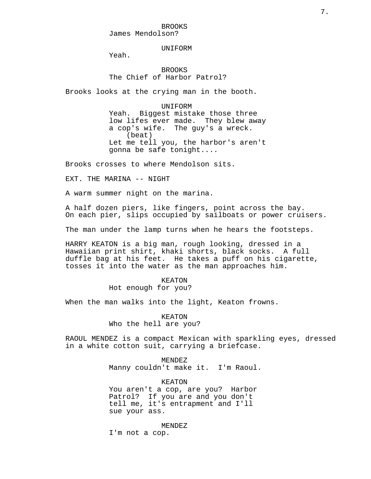BROOKS James Mendolson?

**IINTFORM** 

Yeah.

# BROOKS The Chief of Harbor Patrol?

Brooks looks at the crying man in the booth.

#### UNIFORM

Yeah. Biggest mistake those three low lifes ever made. They blew away a cop's wife. The guy's a wreck. (beat) Let me tell you, the harbor's aren't gonna be safe tonight....

Brooks crosses to where Mendolson sits.

EXT. THE MARINA -- NIGHT

A warm summer night on the marina.

A half dozen piers, like fingers, point across the bay. On each pier, slips occupied by sailboats or power cruisers.

The man under the lamp turns when he hears the footsteps.

HARRY KEATON is a big man, rough looking, dressed in a Hawaiian print shirt, khaki shorts, black socks. A full duffle bag at his feet. He takes a puff on his cigarette, tosses it into the water as the man approaches him.

# KEATON Hot enough for you?

When the man walks into the light, Keaton frowns.

KEATON Who the hell are you?

RAOUL MENDEZ is a compact Mexican with sparkling eyes, dressed in a white cotton suit, carrying a briefcase.

> MENDEZ Manny couldn't make it. I'm Raoul.

KEATON You aren't a cop, are you? Harbor Patrol? If you are and you don't tell me, it's entrapment and I'll sue your ass.

MENDEZ

I'm not a cop.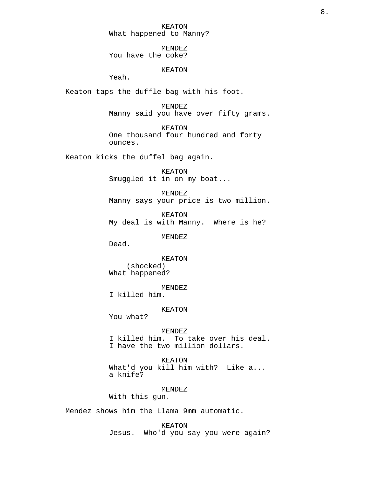KEATON What happened to Manny?

MENDEZ You have the coke?

# KEATON

Yeah.

Keaton taps the duffle bag with his foot.

MENDEZ Manny said you have over fifty grams.

KEATON One thousand four hundred and forty ounces.

Keaton kicks the duffel bag again.

KEATON Smuggled it in on my boat...

MENDEZ Manny says your price is two million.

KEATON My deal is with Manny. Where is he?

MENDEZ

Dead.

KEATON (shocked) What happened?

MENDEZ

I killed him.

KEATON

You what?

MENDEZ

I killed him. To take over his deal. I have the two million dollars.

KEATON What'd you kill him with? Like a... a knife?

MENDEZ

With this gun.

Mendez shows him the Llama 9mm automatic.

KEATON Jesus. Who'd you say you were again?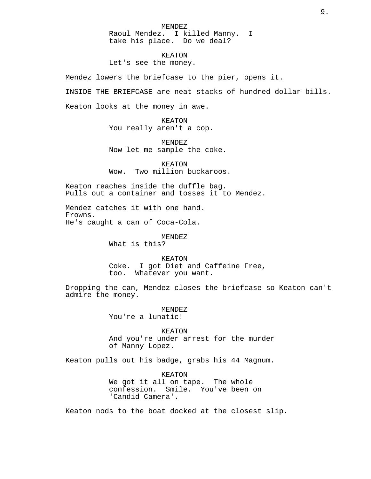MENDEZ Raoul Mendez. I killed Manny. I take his place. Do we deal?

KEATON Let's see the money.

Mendez lowers the briefcase to the pier, opens it.

INSIDE THE BRIEFCASE are neat stacks of hundred dollar bills.

Keaton looks at the money in awe.

KEATON You really aren't a cop.

MENDEZ Now let me sample the coke.

KEATON Wow. Two million buckaroos.

Keaton reaches inside the duffle bag. Pulls out a container and tosses it to Mendez.

Mendez catches it with one hand. Frowns. He's caught a can of Coca-Cola.

MENDEZ

What is this?

KEATON

Coke. I got Diet and Caffeine Free, too. Whatever you want.

Dropping the can, Mendez closes the briefcase so Keaton can't admire the money.

> MENDEZ You're a lunatic!

KEATON And you're under arrest for the murder of Manny Lopez.

Keaton pulls out his badge, grabs his 44 Magnum.

KEATON We got it all on tape. The whole confession. Smile. You've been on 'Candid Camera'.

Keaton nods to the boat docked at the closest slip.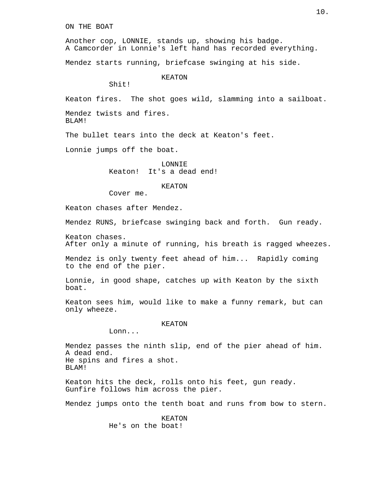ON THE BOAT

Another cop, LONNIE, stands up, showing his badge. A Camcorder in Lonnie's left hand has recorded everything.

Mendez starts running, briefcase swinging at his side.

KEATON

Shit!

Keaton fires. The shot goes wild, slamming into a sailboat.

Mendez twists and fires. BLAM!

The bullet tears into the deck at Keaton's feet.

Lonnie jumps off the boat.

LONNIE Keaton! It's a dead end!

#### KEATON

Cover me.

Keaton chases after Mendez.

Mendez RUNS, briefcase swinging back and forth. Gun ready.

Keaton chases. After only a minute of running, his breath is ragged wheezes.

Mendez is only twenty feet ahead of him... Rapidly coming to the end of the pier.

Lonnie, in good shape, catches up with Keaton by the sixth boat.

Keaton sees him, would like to make a funny remark, but can only wheeze.

#### KEATON

Lonn...

Mendez passes the ninth slip, end of the pier ahead of him. A dead end. He spins and fires a shot. BLAM!

Keaton hits the deck, rolls onto his feet, gun ready. Gunfire follows him across the pier.

Mendez jumps onto the tenth boat and runs from bow to stern.

KEATON He's on the boat!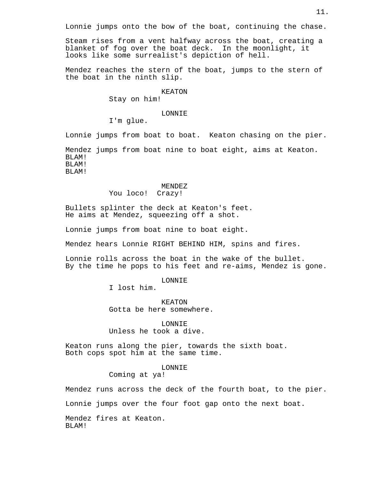Steam rises from a vent halfway across the boat, creating a blanket of fog over the boat deck. In the moonlight, it looks like some surrealist's depiction of hell.

Mendez reaches the stern of the boat, jumps to the stern of the boat in the ninth slip.

#### KEATON

Stay on him!

# LONNIE

I'm glue.

Lonnie jumps from boat to boat. Keaton chasing on the pier. Mendez jumps from boat nine to boat eight, aims at Keaton. BLAM! BLAM! BLAM!

# MENDEZ

You loco! Crazy!

Bullets splinter the deck at Keaton's feet. He aims at Mendez, squeezing off a shot.

Lonnie jumps from boat nine to boat eight.

Mendez hears Lonnie RIGHT BEHIND HIM, spins and fires.

Lonnie rolls across the boat in the wake of the bullet. By the time he pops to his feet and re-aims, Mendez is gone.

# LONNIE

I lost him.

KEATON Gotta be here somewhere.

LONNIE Unless he took a dive.

Keaton runs along the pier, towards the sixth boat. Both cops spot him at the same time.

#### LONNIE

Coming at ya!

Mendez runs across the deck of the fourth boat, to the pier.

Lonnie jumps over the four foot gap onto the next boat.

Mendez fires at Keaton. BLAM!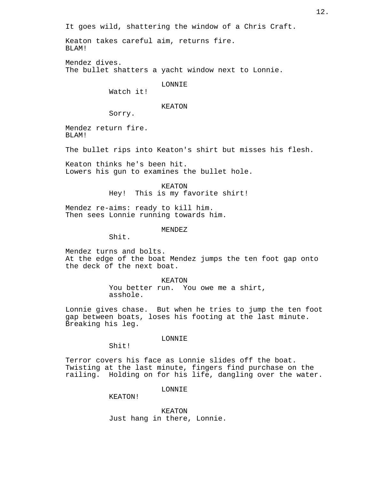It goes wild, shattering the window of a Chris Craft.

Keaton takes careful aim, returns fire. BLAM!

Mendez dives. The bullet shatters a yacht window next to Lonnie.

LONNIE

Watch it!

# KEATON

Sorry.

Mendez return fire. BLAM!

The bullet rips into Keaton's shirt but misses his flesh.

Keaton thinks he's been hit. Lowers his gun to examines the bullet hole.

> KEATON Hey! This is my favorite shirt!

Mendez re-aims: ready to kill him. Then sees Lonnie running towards him.

MENDEZ

Shit.

Mendez turns and bolts. At the edge of the boat Mendez jumps the ten foot gap onto the deck of the next boat.

> KEATON You better run. You owe me a shirt, asshole.

Lonnie gives chase. But when he tries to jump the ten foot gap between boats, loses his footing at the last minute. Breaking his leg.

LONNIE

Shit!

Terror covers his face as Lonnie slides off the boat. Twisting at the last minute, fingers find purchase on the railing. Holding on for his life, dangling over the water.

LONNIE

KEATON!

KEATON Just hang in there, Lonnie.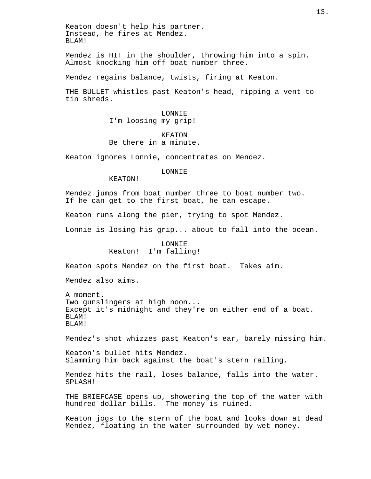Keaton doesn't help his partner. Instead, he fires at Mendez. BLAM!

Mendez is HIT in the shoulder, throwing him into a spin. Almost knocking him off boat number three.

Mendez regains balance, twists, firing at Keaton.

THE BULLET whistles past Keaton's head, ripping a vent to tin shreds.

# LONNIE I'm loosing my grip!

## KEATON Be there in a minute.

Keaton ignores Lonnie, concentrates on Mendez.

LONNIE

KEATON!

Mendez jumps from boat number three to boat number two. If he can get to the first boat, he can escape.

Keaton runs along the pier, trying to spot Mendez.

Lonnie is losing his grip... about to fall into the ocean.

# LONNIE Keaton! I'm falling!

Keaton spots Mendez on the first boat. Takes aim.

Mendez also aims.

A moment. Two gunslingers at high noon... Except it's midnight and they're on either end of a boat. BLAM! BLAM!

Mendez's shot whizzes past Keaton's ear, barely missing him.

Keaton's bullet hits Mendez. Slamming him back against the boat's stern railing.

Mendez hits the rail, loses balance, falls into the water. SPLASH!

THE BRIEFCASE opens up, showering the top of the water with hundred dollar bills. The money is ruined.

Keaton jogs to the stern of the boat and looks down at dead Mendez, floating in the water surrounded by wet money.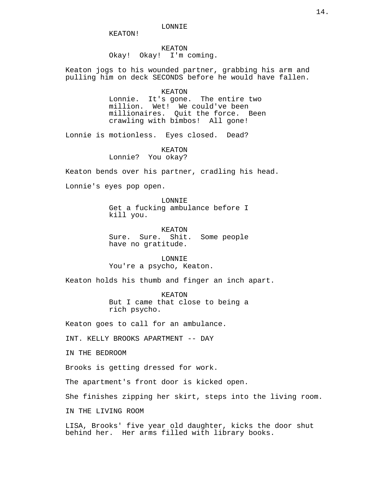KEATON!

### KEATON Okay! Okay! I'm coming.

Keaton jogs to his wounded partner, grabbing his arm and pulling him on deck SECONDS before he would have fallen.

#### KEATON

Lonnie. It's gone. The entire two million. Wet! We could've been millionaires. Quit the force. Been crawling with bimbos! All gone!

Lonnie is motionless. Eyes closed. Dead?

KEATON

Lonnie? You okay?

Keaton bends over his partner, cradling his head.

Lonnie's eyes pop open.

LONNIE Get a fucking ambulance before I kill you.

KEATON Sure. Sure. Shit. Some people have no gratitude.

LONNIE You're a psycho, Keaton.

Keaton holds his thumb and finger an inch apart.

KEATON But I came that close to being a rich psycho.

Keaton goes to call for an ambulance.

INT. KELLY BROOKS APARTMENT -- DAY

IN THE BEDROOM

Brooks is getting dressed for work.

The apartment's front door is kicked open.

She finishes zipping her skirt, steps into the living room.

IN THE LIVING ROOM

LISA, Brooks' five year old daughter, kicks the door shut behind her. Her arms filled with library books.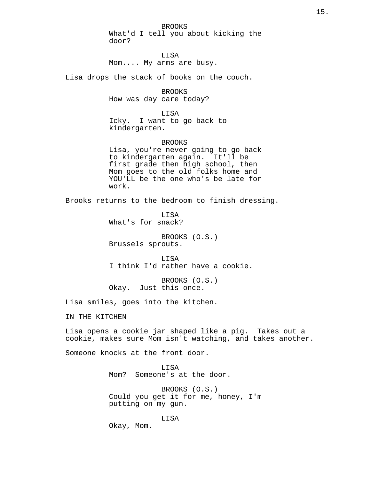BROOKS What'd I tell you about kicking the door?

LISA Mom.... My arms are busy.

Lisa drops the stack of books on the couch.

BROOKS How was day care today?

LISA Icky. I want to go back to kindergarten.

BROOKS Lisa, you're never going to go back to kindergarten again. It'll be first grade then high school, then Mom goes to the old folks home and YOU'LL be the one who's be late for work.

Brooks returns to the bedroom to finish dressing.

LISA What's for snack?

BROOKS (O.S.) Brussels sprouts.

LISA I think I'd rather have a cookie.

BROOKS (O.S.) Okay. Just this once.

Lisa smiles, goes into the kitchen.

IN THE KITCHEN

Lisa opens a cookie jar shaped like a pig. Takes out a cookie, makes sure Mom isn't watching, and takes another.

Someone knocks at the front door.

LISA Mom? Someone's at the door.

BROOKS (O.S.) Could you get it for me, honey, I'm putting on my gun.

LISA

Okay, Mom.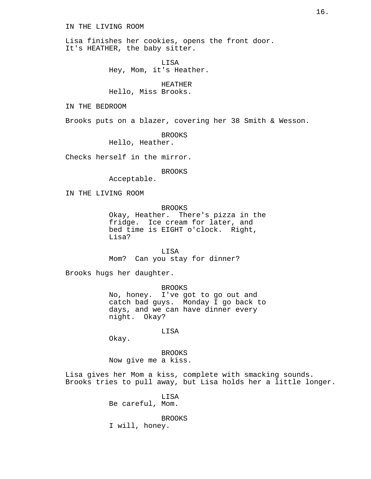## IN THE LIVING ROOM

Lisa finishes her cookies, opens the front door. It's HEATHER, the baby sitter.

> LISA Hey, Mom, it's Heather.

HEATHER Hello, Miss Brooks.

IN THE BEDROOM

Brooks puts on a blazer, covering her 38 Smith & Wesson.

BROOKS

Hello, Heather.

Checks herself in the mirror.

BROOKS

Acceptable.

IN THE LIVING ROOM

**BROOKS** 

Okay, Heather. There's pizza in the fridge. Ice cream for later, and bed time is EIGHT o'clock. Right, Lisa?

LISA Mom? Can you stay for dinner?

Brooks hugs her daughter.

BROOKS No, honey. I've got to go out and catch bad guys. Monday I go back to days, and we can have dinner every night. Okay?

#### LISA

Okay.

BROOKS Now give me a kiss.

Lisa gives her Mom a kiss, complete with smacking sounds. Brooks tries to pull away, but Lisa holds her a little longer.

> LISA Be careful, Mom.

BROOKS I will, honey.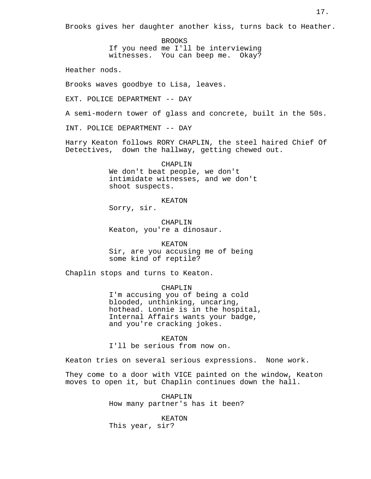Brooks gives her daughter another kiss, turns back to Heather.

BROOKS

If you need me I'll be interviewing

witnesses. You can beep me. Okay?

Heather nods.

Brooks waves goodbye to Lisa, leaves.

EXT. POLICE DEPARTMENT -- DAY

A semi-modern tower of glass and concrete, built in the 50s.

INT. POLICE DEPARTMENT -- DAY

Harry Keaton follows RORY CHAPLIN, the steel haired Chief Of Detectives, down the hallway, getting chewed out.

> CHAPLIN We don't beat people, we don't intimidate witnesses, and we don't shoot suspects.

#### KEATON

Sorry, sir.

CHAPLIN Keaton, you're a dinosaur.

KEATON Sir, are you accusing me of being some kind of reptile?

Chaplin stops and turns to Keaton.

CHAPLIN

I'm accusing you of being a cold blooded, unthinking, uncaring, hothead. Lonnie is in the hospital, Internal Affairs wants your badge, and you're cracking jokes.

KEATON I'll be serious from now on.

Keaton tries on several serious expressions. None work.

They come to a door with VICE painted on the window, Keaton moves to open it, but Chaplin continues down the hall.

> CHAPLIN How many partner's has it been?

KEATON This year, sir?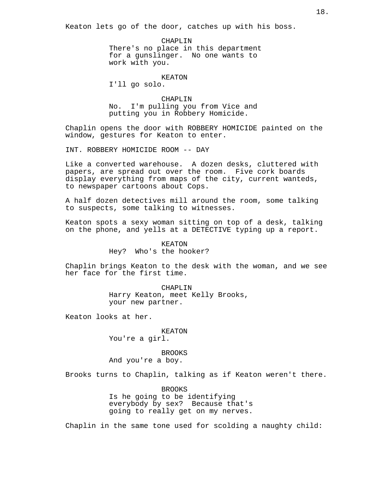Keaton lets go of the door, catches up with his boss.

CHAPLIN There's no place in this department for a gunslinger. No one wants to work with you.

KEATON

I'll go solo.

CHAPLIN No. I'm pulling you from Vice and putting you in Robbery Homicide.

Chaplin opens the door with ROBBERY HOMICIDE painted on the window, gestures for Keaton to enter.

INT. ROBBERY HOMICIDE ROOM -- DAY

Like a converted warehouse. A dozen desks, cluttered with papers, are spread out over the room. Five cork boards display everything from maps of the city, current wanteds, to newspaper cartoons about Cops.

A half dozen detectives mill around the room, some talking to suspects, some talking to witnesses.

Keaton spots a sexy woman sitting on top of a desk, talking on the phone, and yells at a DETECTIVE typing up a report.

#### KEATON

Hey? Who's the hooker?

Chaplin brings Keaton to the desk with the woman, and we see her face for the first time.

> CHAPLIN Harry Keaton, meet Kelly Brooks, your new partner.

Keaton looks at her.

## KEATON

You're a girl.

BROOKS And you're a boy.

Brooks turns to Chaplin, talking as if Keaton weren't there.

BROOKS Is he going to be identifying everybody by sex? Because that's going to really get on my nerves.

Chaplin in the same tone used for scolding a naughty child: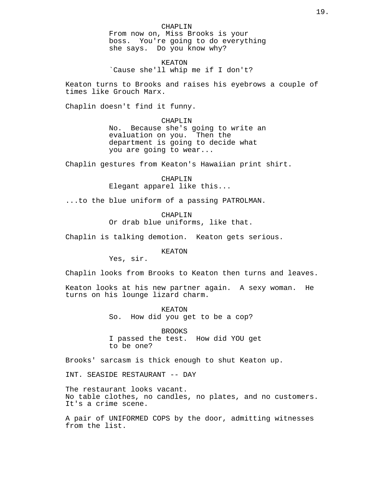CHAPLIN From now on, Miss Brooks is your boss. You're going to do everything she says. Do you know why?

KEATON `Cause she'll whip me if I don't?

Keaton turns to Brooks and raises his eyebrows a couple of times like Grouch Marx.

Chaplin doesn't find it funny.

CHAPLIN No. Because she's going to write an evaluation on you. Then the department is going to decide what you are going to wear...

Chaplin gestures from Keaton's Hawaiian print shirt.

CHAPLIN Elegant apparel like this...

...to the blue uniform of a passing PATROLMAN.

CHAPLIN Or drab blue uniforms, like that.

Chaplin is talking demotion. Keaton gets serious.

KEATON

Yes, sir.

Chaplin looks from Brooks to Keaton then turns and leaves.

Keaton looks at his new partner again. A sexy woman. He turns on his lounge lizard charm.

> KEATON So. How did you get to be a cop?

BROOKS I passed the test. How did YOU get to be one?

Brooks' sarcasm is thick enough to shut Keaton up.

INT. SEASIDE RESTAURANT -- DAY

The restaurant looks vacant. No table clothes, no candles, no plates, and no customers. It's a crime scene.

A pair of UNIFORMED COPS by the door, admitting witnesses from the list.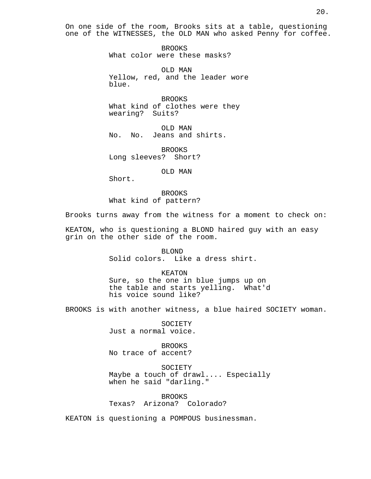On one side of the room, Brooks sits at a table, questioning one of the WITNESSES, the OLD MAN who asked Penny for coffee.

> BROOKS What color were these masks?

OLD MAN Yellow, red, and the leader wore blue.

BROOKS What kind of clothes were they wearing? Suits?

OLD MAN No. No. Jeans and shirts.

BROOKS Long sleeves? Short?

OLD MAN

Short.

BROOKS What kind of pattern?

Brooks turns away from the witness for a moment to check on:

KEATON, who is questioning a BLOND haired guy with an easy grin on the other side of the room.

> BLOND Solid colors. Like a dress shirt.

KEATON Sure, so the one in blue jumps up on the table and starts yelling. What'd his voice sound like?

BROOKS is with another witness, a blue haired SOCIETY woman.

SOCIETY Just a normal voice.

BROOKS No trace of accent?

SOCIETY Maybe a touch of drawl.... Especially when he said "darling."

BROOKS Texas? Arizona? Colorado?

KEATON is questioning a POMPOUS businessman.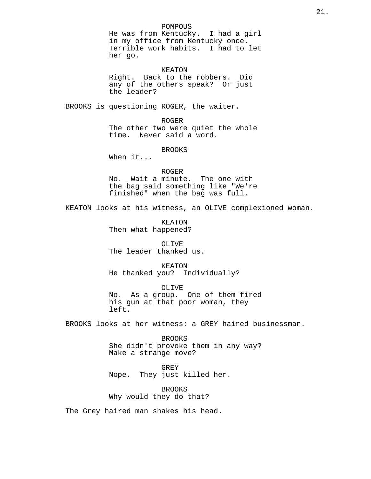## POMPOUS

He was from Kentucky. I had a girl in my office from Kentucky once. Terrible work habits. I had to let her go.

# KEATON

Right. Back to the robbers. Did any of the others speak? Or just the leader?

BROOKS is questioning ROGER, the waiter.

ROGER

The other two were quiet the whole time. Never said a word.

BROOKS

When it...

ROGER No. Wait a minute. The one with the bag said something like "We're finished" when the bag was full.

KEATON looks at his witness, an OLIVE complexioned woman.

KEATON Then what happened?

OLIVE The leader thanked us.

KEATON He thanked you? Individually?

OLIVE No. As a group. One of them fired his gun at that poor woman, they left.

BROOKS looks at her witness: a GREY haired businessman.

BROOKS She didn't provoke them in any way? Make a strange move?

GREY Nope. They just killed her.

BROOKS Why would they do that?

The Grey haired man shakes his head.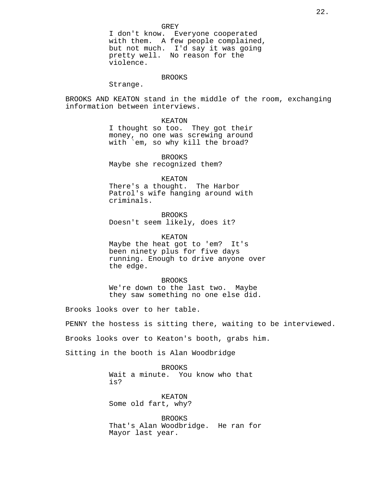I don't know. Everyone cooperated with them. A few people complained, but not much. I'd say it was going pretty well. No reason for the violence.

# BROOKS

Strange.

BROOKS AND KEATON stand in the middle of the room, exchanging information between interviews.

KEATON

I thought so too. They got their money, no one was screwing around with `em, so why kill the broad?

BROOKS Maybe she recognized them?

KEATON

There's a thought. The Harbor Patrol's wife hanging around with criminals.

BROOKS Doesn't seem likely, does it?

KEATON

Maybe the heat got to 'em? It's been ninety plus for five days running. Enough to drive anyone over the edge.

BROOKS We're down to the last two. Maybe they saw something no one else did.

Brooks looks over to her table.

PENNY the hostess is sitting there, waiting to be interviewed.

Brooks looks over to Keaton's booth, grabs him.

Sitting in the booth is Alan Woodbridge

BROOKS Wait a minute. You know who that is?

KEATON Some old fart, why?

BROOKS That's Alan Woodbridge. He ran for Mayor last year.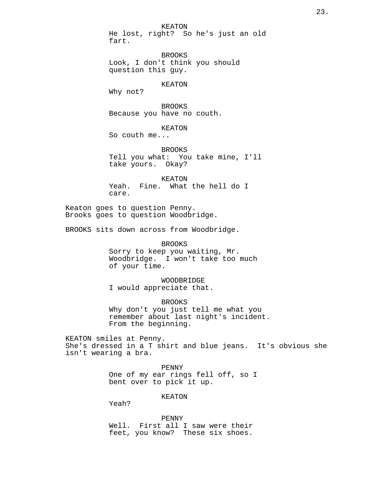KEATON He lost, right? So he's just an old fart.

BROOKS Look, I don't think you should question this guy.

#### KEATON

Why not?

BROOKS Because you have no couth.

KEATON

So couth me...

BROOKS Tell you what: You take mine, I'll take yours. Okay?

KEATON Yeah. Fine. What the hell do I care.

Keaton goes to question Penny. Brooks goes to question Woodbridge.

BROOKS sits down across from Woodbridge.

#### BROOKS

Sorry to keep you waiting, Mr. Woodbridge. I won't take too much of your time.

WOODBRIDGE I would appreciate that.

BROOKS Why don't you just tell me what you remember about last night's incident. From the beginning.

KEATON smiles at Penny. She's dressed in a T shirt and blue jeans. It's obvious she isn't wearing a bra.

> PENNY One of my ear rings fell off, so I bent over to pick it up.

> > KEATON

Yeah?

PENNY Well. First all I saw were their feet, you know? These six shoes.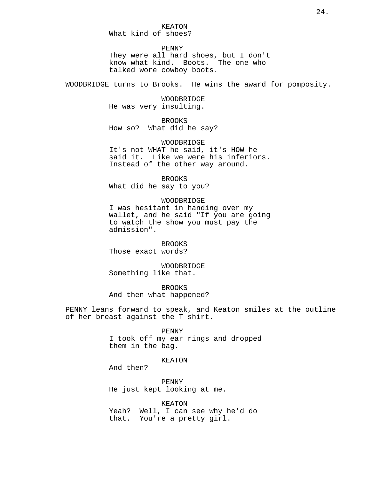PENNY They were all hard shoes, but I don't know what kind. Boots. The one who talked wore cowboy boots.

WOODBRIDGE turns to Brooks. He wins the award for pomposity.

WOODBRIDGE He was very insulting.

BROOKS How so? What did he say?

WOODBRIDGE It's not WHAT he said, it's HOW he said it. Like we were his inferiors. Instead of the other way around.

BROOKS What did he say to you?

## WOODBRIDGE

I was hesitant in handing over my wallet, and he said "If you are going to watch the show you must pay the admission".

BROOKS Those exact words?

WOODBRIDGE Something like that.

**BROOKS** And then what happened?

PENNY leans forward to speak, and Keaton smiles at the outline of her breast against the T shirt.

#### PENNY

I took off my ear rings and dropped them in the bag.

KEATON

And then?

PENNY He just kept looking at me.

KEATON Yeah? Well, I can see why he'd do that. You're a pretty girl.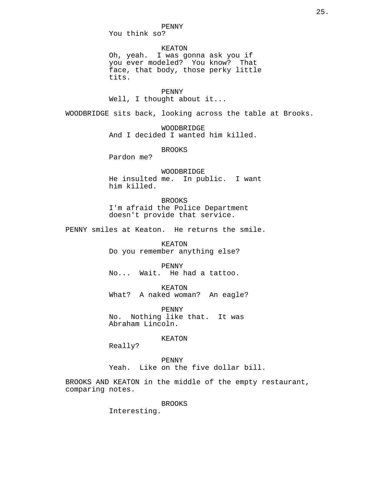You think so?

KEATON Oh, yeah. I was gonna ask you if you ever modeled? You know? That face, that body, those perky little tits.

PENNY Well, I thought about it...

WOODBRIDGE sits back, looking across the table at Brooks.

WOODBRIDGE And I decided I wanted him killed.

BROOKS

Pardon me?

WOODBRIDGE He insulted me. In public. I want him killed.

BROOKS I'm afraid the Police Department doesn't provide that service.

PENNY smiles at Keaton. He returns the smile.

KEATON Do you remember anything else?

PENNY No... Wait. He had a tattoo.

KEATON What? A naked woman? An eagle?

PENNY No. Nothing like that. It was Abraham Lincoln.

KEATON

Really?

PENNY Yeah. Like on the five dollar bill.

BROOKS AND KEATON in the middle of the empty restaurant, comparing notes.

BROOKS

Interesting.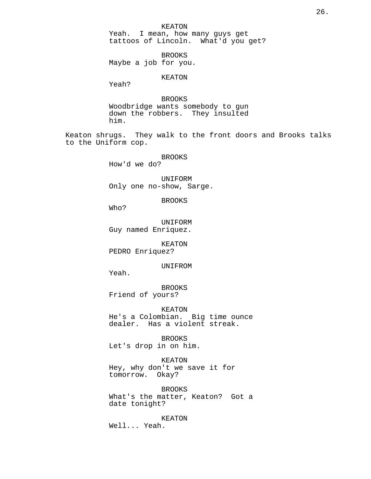KEATON Yeah. I mean, how many guys get tattoos of Lincoln. What'd you get?

BROOKS Maybe a job for you.

KEATON

Yeah?

BROOKS Woodbridge wants somebody to gun down the robbers. They insulted him.

Keaton shrugs. They walk to the front doors and Brooks talks to the Uniform cop.

BROOKS

How'd we do?

UNIFORM Only one no-show, Sarge.

BROOKS

Who?

UNIFORM Guy named Enriquez.

KEATON PEDRO Enriquez?

UNIFROM

Yeah.

BROOKS Friend of yours?

KEATON He's a Colombian. Big time ounce dealer. Has a violent streak.

BROOKS Let's drop in on him.

KEATON Hey, why don't we save it for tomorrow. Okay?

BROOKS What's the matter, Keaton? Got a date tonight?

KEATON Well... Yeah.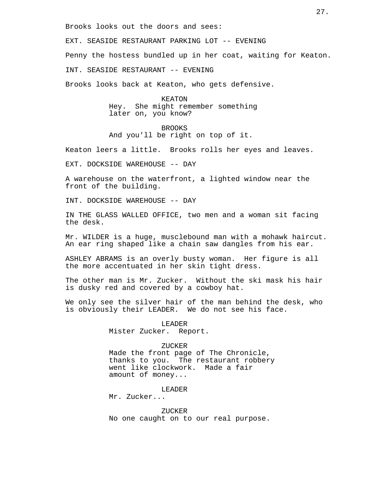Brooks looks out the doors and sees:

EXT. SEASIDE RESTAURANT PARKING LOT -- EVENING Penny the hostess bundled up in her coat, waiting for Keaton. INT. SEASIDE RESTAURANT -- EVENING Brooks looks back at Keaton, who gets defensive.

> KEATON Hey. She might remember something later on, you know?

BROOKS And you'll be right on top of it.

Keaton leers a little. Brooks rolls her eyes and leaves.

EXT. DOCKSIDE WAREHOUSE -- DAY

A warehouse on the waterfront, a lighted window near the front of the building.

INT. DOCKSIDE WAREHOUSE -- DAY

IN THE GLASS WALLED OFFICE, two men and a woman sit facing the desk.

Mr. WILDER is a huge, musclebound man with a mohawk haircut. An ear ring shaped like a chain saw dangles from his ear.

ASHLEY ABRAMS is an overly busty woman. Her figure is all the more accentuated in her skin tight dress.

The other man is Mr. Zucker. Without the ski mask his hair is dusky red and covered by a cowboy hat.

We only see the silver hair of the man behind the desk, who is obviously their LEADER. We do not see his face.

> LEADER Mister Zucker. Report.

#### ZUCKER

Made the front page of The Chronicle, thanks to you. The restaurant robbery went like clockwork. Made a fair amount of money...

LEADER Mr. Zucker...

ZUCKER No one caught on to our real purpose.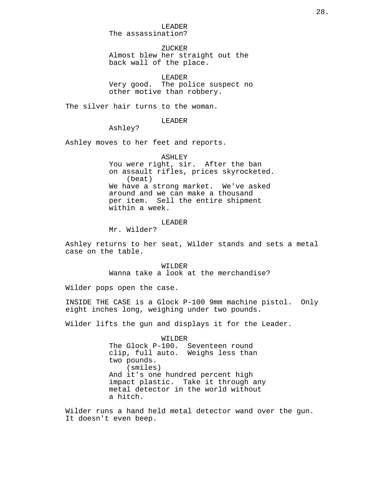LEADER The assassination?

ZUCKER Almost blew her straight out the back wall of the place.

LEADER Very good. The police suspect no other motive than robbery.

The silver hair turns to the woman.

LEADER

Ashley?

Ashley moves to her feet and reports.

ASHLEY

You were right, sir. After the ban on assault rifles, prices skyrocketed. (beat) We have a strong market. We've asked around and we can make a thousand per item. Sell the entire shipment within a week.

LEADER

Mr. Wilder?

Ashley returns to her seat, Wilder stands and sets a metal case on the table.

> WILDER Wanna take a look at the merchandise?

Wilder pops open the case.

INSIDE THE CASE is a Glock P-100 9mm machine pistol. Only eight inches long, weighing under two pounds.

Wilder lifts the gun and displays it for the Leader.

WILDER The Glock P-100. Seventeen round clip, full auto. Weighs less than two pounds. (smiles) And it's one hundred percent high impact plastic. Take it through any metal detector in the world without a hitch.

Wilder runs a hand held metal detector wand over the gun. It doesn't even beep.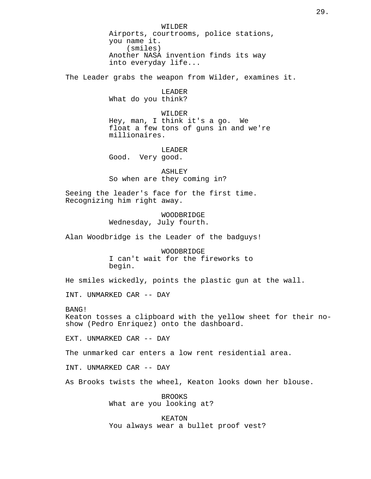WILDER Airports, courtrooms, police stations, you name it. (smiles) Another NASA invention finds its way into everyday life...

The Leader grabs the weapon from Wilder, examines it.

LEADER What do you think?

WILDER Hey, man, I think it's a go. We float a few tons of guns in and we're millionaires.

LEADER Good. Very good.

ASHLEY So when are they coming in?

Seeing the leader's face for the first time. Recognizing him right away.

> WOODBRIDGE Wednesday, July fourth.

Alan Woodbridge is the Leader of the badguys!

WOODBRIDGE I can't wait for the fireworks to begin.

He smiles wickedly, points the plastic gun at the wall.

INT. UNMARKED CAR -- DAY

BANG! Keaton tosses a clipboard with the yellow sheet for their noshow (Pedro Enriquez) onto the dashboard.

EXT. UNMARKED CAR -- DAY

The unmarked car enters a low rent residential area.

INT. UNMARKED CAR -- DAY

As Brooks twists the wheel, Keaton looks down her blouse.

BROOKS What are you looking at?

KEATON You always wear a bullet proof vest?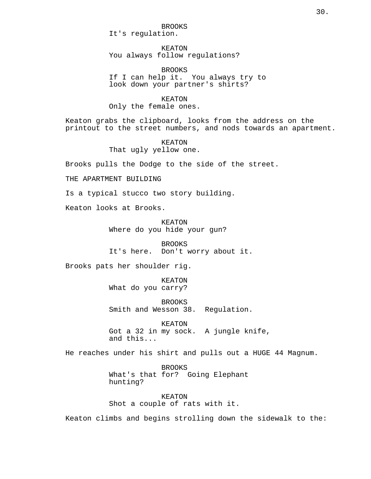BROOKS It's regulation.

KEATON You always follow regulations?

BROOKS If I can help it. You always try to look down your partner's shirts?

KEATON Only the female ones.

Keaton grabs the clipboard, looks from the address on the printout to the street numbers, and nods towards an apartment.

> KEATON That ugly yellow one.

Brooks pulls the Dodge to the side of the street.

THE APARTMENT BUILDING

Is a typical stucco two story building.

Keaton looks at Brooks.

KEATON Where do you hide your gun?

BROOKS It's here. Don't worry about it.

Brooks pats her shoulder rig.

KEATON What do you carry?

BROOKS Smith and Wesson 38. Regulation.

KEATON Got a 32 in my sock. A jungle knife, and this...

He reaches under his shirt and pulls out a HUGE 44 Magnum.

**BROOKS** What's that for? Going Elephant hunting?

KEATON Shot a couple of rats with it.

Keaton climbs and begins strolling down the sidewalk to the: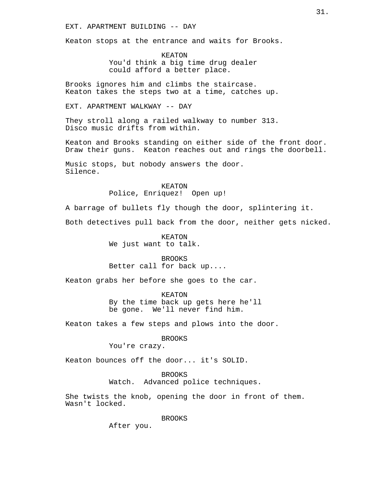# EXT. APARTMENT BUILDING -- DAY

Keaton stops at the entrance and waits for Brooks.

KEATON You'd think a big time drug dealer could afford a better place.

Brooks ignores him and climbs the staircase. Keaton takes the steps two at a time, catches up.

EXT. APARTMENT WALKWAY -- DAY

They stroll along a railed walkway to number 313. Disco music drifts from within.

Keaton and Brooks standing on either side of the front door. Draw their guns. Keaton reaches out and rings the doorbell.

Music stops, but nobody answers the door. Silence.

# KEATON

Police, Enriquez! Open up!

A barrage of bullets fly though the door, splintering it.

Both detectives pull back from the door, neither gets nicked.

KEATON We just want to talk.

BROOKS Better call for back up....

Keaton grabs her before she goes to the car.

KEATON By the time back up gets here he'll be gone. We'll never find him.

Keaton takes a few steps and plows into the door.

BROOKS

You're crazy.

Keaton bounces off the door... it's SOLID.

BROOKS Watch. Advanced police techniques.

She twists the knob, opening the door in front of them. Wasn't locked.

BROOKS

After you.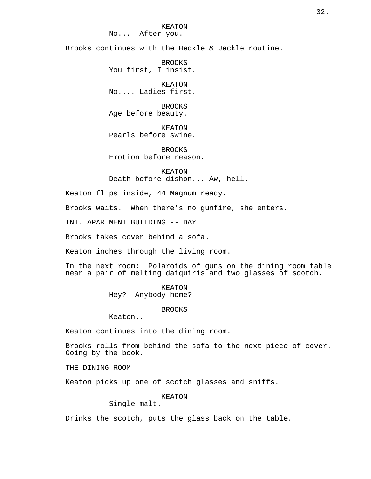Brooks continues with the Heckle & Jeckle routine.

BROOKS You first, I insist.

KEATON No.... Ladies first.

BROOKS Age before beauty.

KEATON Pearls before swine.

BROOKS Emotion before reason.

KEATON Death before dishon... Aw, hell.

Keaton flips inside, 44 Magnum ready.

Brooks waits. When there's no gunfire, she enters.

INT. APARTMENT BUILDING -- DAY

Brooks takes cover behind a sofa.

Keaton inches through the living room.

In the next room: Polaroids of guns on the dining room table near a pair of melting daiquiris and two glasses of scotch.

KEATON

Hey? Anybody home?

BROOKS

Keaton...

Keaton continues into the dining room.

Brooks rolls from behind the sofa to the next piece of cover. Going by the book.

THE DINING ROOM

Keaton picks up one of scotch glasses and sniffs.

KEATON

Single malt.

Drinks the scotch, puts the glass back on the table.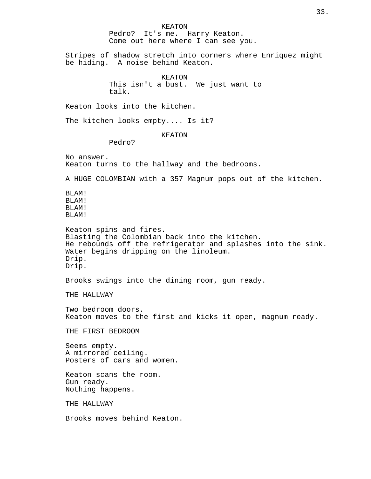KEATON Pedro? It's me. Harry Keaton. Come out here where I can see you. Stripes of shadow stretch into corners where Enriquez might be hiding. A noise behind Keaton. KEATON This isn't a bust. We just want to talk. Keaton looks into the kitchen. The kitchen looks empty.... Is it? KEATON Pedro? No answer. Keaton turns to the hallway and the bedrooms. A HUGE COLOMBIAN with a 357 Magnum pops out of the kitchen. BLAM! BLAM! BLAM! BLAM! Keaton spins and fires. Blasting the Colombian back into the kitchen. He rebounds off the refrigerator and splashes into the sink. Water begins dripping on the linoleum. Drip. Drip. Brooks swings into the dining room, gun ready. THE HALLWAY Two bedroom doors. Keaton moves to the first and kicks it open, magnum ready. THE FIRST BEDROOM Seems empty. A mirrored ceiling. Posters of cars and women. Keaton scans the room. Gun ready. Nothing happens. THE HALLWAY Brooks moves behind Keaton.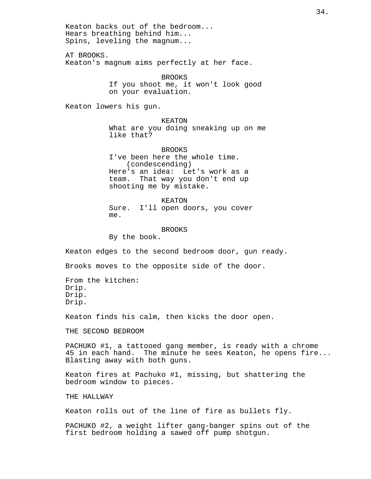Keaton backs out of the bedroom... Hears breathing behind him... Spins, leveling the magnum... AT BROOKS. Keaton's magnum aims perfectly at her face. BROOKS If you shoot me, it won't look good on your evaluation. Keaton lowers his gun. KEATON What are you doing sneaking up on me like that? BROOKS I've been here the whole time. (condescending) Here's an idea: Let's work as a team. That way you don't end up shooting me by mistake. KEATON Sure. I'll open doors, you cover me. BROOKS By the book. Keaton edges to the second bedroom door, gun ready. Brooks moves to the opposite side of the door. From the kitchen: Drip. Drip. Drip. Keaton finds his calm, then kicks the door open. THE SECOND BEDROOM PACHUKO #1, a tattooed gang member, is ready with a chrome 45 in each hand. The minute he sees Keaton, he opens fire... Blasting away with both guns. Keaton fires at Pachuko #1, missing, but shattering the bedroom window to pieces. THE HALLWAY Keaton rolls out of the line of fire as bullets fly. PACHUKO #2, a weight lifter gang-banger spins out of the first bedroom holding a sawed off pump shotgun.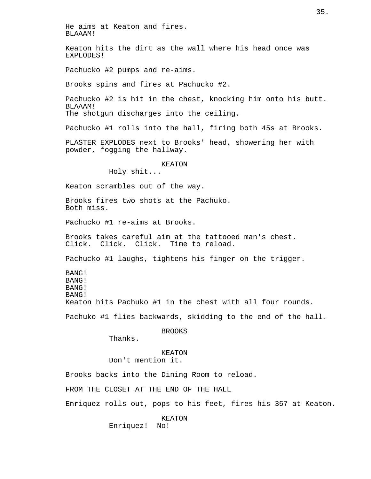He aims at Keaton and fires. BLAAAM! Keaton hits the dirt as the wall where his head once was EXPLODES! Pachucko #2 pumps and re-aims. Brooks spins and fires at Pachucko #2. Pachucko #2 is hit in the chest, knocking him onto his butt. BLAAAM! The shotqun discharges into the ceiling. Pachucko #1 rolls into the hall, firing both 45s at Brooks. PLASTER EXPLODES next to Brooks' head, showering her with powder, fogging the hallway. KEATON Holy shit... Keaton scrambles out of the way. Brooks fires two shots at the Pachuko. Both miss. Pachucko #1 re-aims at Brooks. Brooks takes careful aim at the tattooed man's chest. Click. Click. Click. Time to reload. Pachucko #1 laughs, tightens his finger on the trigger. BANG! BANG! BANG! BANG! Keaton hits Pachuko #1 in the chest with all four rounds. Pachuko #1 flies backwards, skidding to the end of the hall. BROOKS Thanks. KEATON Don't mention it. Brooks backs into the Dining Room to reload. FROM THE CLOSET AT THE END OF THE HALL Enriquez rolls out, pops to his feet, fires his 357 at Keaton. KEATON

Enriquez! No!

35.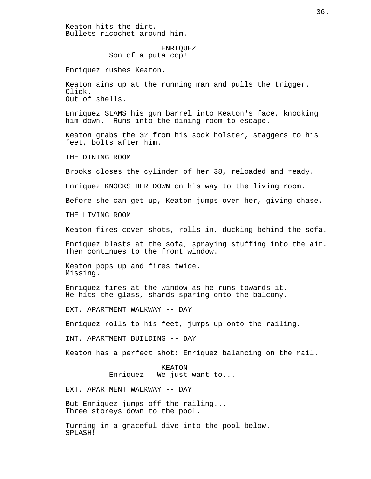Keaton hits the dirt. Bullets ricochet around him.

### ENRIQUEZ

Son of a puta cop!

Enriquez rushes Keaton.

Keaton aims up at the running man and pulls the trigger. Click. Out of shells.

Enriquez SLAMS his gun barrel into Keaton's face, knocking him down. Runs into the dining room to escape.

Keaton grabs the 32 from his sock holster, staggers to his feet, bolts after him.

THE DINING ROOM

Brooks closes the cylinder of her 38, reloaded and ready.

Enriquez KNOCKS HER DOWN on his way to the living room.

Before she can get up, Keaton jumps over her, giving chase.

THE LIVING ROOM

Keaton fires cover shots, rolls in, ducking behind the sofa.

Enriquez blasts at the sofa, spraying stuffing into the air. Then continues to the front window.

Keaton pops up and fires twice. Missing.

Enriquez fires at the window as he runs towards it. He hits the glass, shards sparing onto the balcony.

EXT. APARTMENT WALKWAY -- DAY

Enriquez rolls to his feet, jumps up onto the railing.

INT. APARTMENT BUILDING -- DAY

Keaton has a perfect shot: Enriquez balancing on the rail.

KEATON Enriquez! We just want to...

EXT. APARTMENT WALKWAY -- DAY

But Enriquez jumps off the railing... Three storeys down to the pool.

Turning in a graceful dive into the pool below. SPLASH!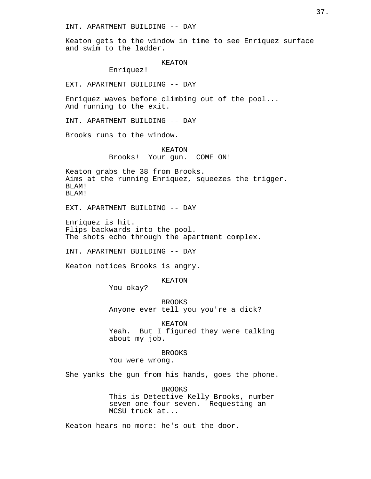Keaton gets to the window in time to see Enriquez surface and swim to the ladder.

KEATON

Enriquez!

EXT. APARTMENT BUILDING -- DAY

Enriquez waves before climbing out of the pool... And running to the exit.

INT. APARTMENT BUILDING -- DAY

Brooks runs to the window.

KEATON Brooks! Your gun. COME ON!

Keaton grabs the 38 from Brooks. Aims at the running Enriquez, squeezes the trigger. BLAM! BLAM!

EXT. APARTMENT BUILDING -- DAY

Enriquez is hit. Flips backwards into the pool. The shots echo through the apartment complex.

INT. APARTMENT BUILDING -- DAY

Keaton notices Brooks is angry.

KEATON

You okay?

BROOKS Anyone ever tell you you're a dick?

KEATON Yeah. But I figured they were talking about my job.

BROOKS

You were wrong.

She yanks the gun from his hands, goes the phone.

BROOKS This is Detective Kelly Brooks, number seven one four seven. Requesting an MCSU truck at...

Keaton hears no more: he's out the door.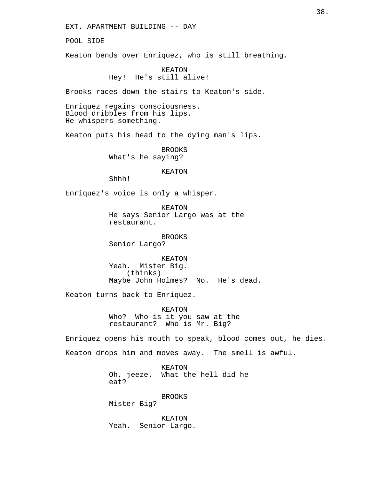EXT. APARTMENT BUILDING -- DAY

POOL SIDE

Keaton bends over Enriquez, who is still breathing.

# KEATON Hey! He's still alive!

Brooks races down the stairs to Keaton's side.

Enriquez regains consciousness. Blood dribbles from his lips. He whispers something.

Keaton puts his head to the dying man's lips.

BROOKS What's he saying?

## KEATON

Shhh!

Enriquez's voice is only a whisper.

KEATON He says Senior Largo was at the restaurant.

BROOKS

Senior Largo?

KEATON Yeah. Mister Big. (thinks) Maybe John Holmes? No. He's dead.

Keaton turns back to Enriquez.

KEATON Who? Who is it you saw at the restaurant? Who is Mr. Big?

Enriquez opens his mouth to speak, blood comes out, he dies. Keaton drops him and moves away. The smell is awful.

> KEATON Oh, jeeze. What the hell did he eat?

> > BROOKS

Mister Big?

KEATON Yeah. Senior Largo.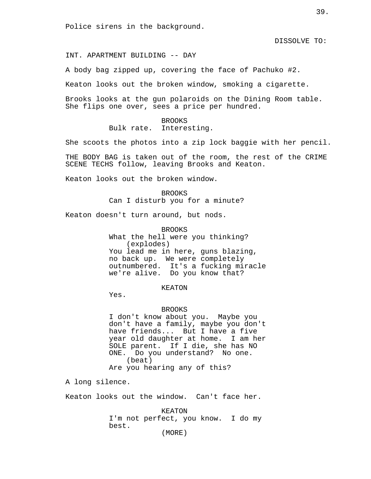Police sirens in the background.

DISSOLVE TO:

INT. APARTMENT BUILDING -- DAY

A body bag zipped up, covering the face of Pachuko #2.

Keaton looks out the broken window, smoking a cigarette.

Brooks looks at the gun polaroids on the Dining Room table. She flips one over, sees a price per hundred.

> BROOKS Bulk rate. Interesting.

She scoots the photos into a zip lock baggie with her pencil.

THE BODY BAG is taken out of the room, the rest of the CRIME SCENE TECHS follow, leaving Brooks and Keaton.

Keaton looks out the broken window.

BROOKS Can I disturb you for a minute?

Keaton doesn't turn around, but nods.

BROOKS What the hell were you thinking? (explodes) You lead me in here, guns blazing, no back up. We were completely outnumbered. It's a fucking miracle we're alive. Do you know that?

KEATON

Yes.

## BROOKS

I don't know about you. Maybe you don't have a family, maybe you don't have friends... But I have a five year old daughter at home. I am her SOLE parent. If I die, she has NO ONE. Do you understand? No one. (beat) Are you hearing any of this?

A long silence.

Keaton looks out the window. Can't face her.

KEATON I'm not perfect, you know. I do my best.

(MORE)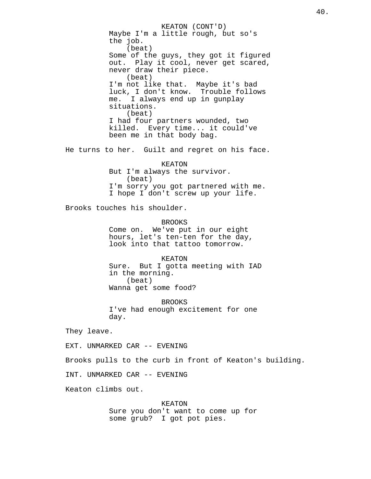KEATON (CONT'D) Maybe I'm a little rough, but so's the job. (beat) Some of the guys, they got it figured out. Play it cool, never get scared, never draw their piece. (beat) I'm not like that. Maybe it's bad luck, I don't know. Trouble follows me. I always end up in gunplay situations. (beat) I had four partners wounded, two killed. Every time... it could've been me in that body bag. He turns to her. Guilt and regret on his face. KEATON But I'm always the survivor. (beat)

> I'm sorry you got partnered with me. I hope I don't screw up your life.

Brooks touches his shoulder.

BROOKS Come on. We've put in our eight hours, let's ten-ten for the day, look into that tattoo tomorrow.

KEATON Sure. But I gotta meeting with IAD in the morning. (beat) Wanna get some food?

BROOKS I've had enough excitement for one day.

They leave.

EXT. UNMARKED CAR -- EVENING

Brooks pulls to the curb in front of Keaton's building.

INT. UNMARKED CAR -- EVENING

Keaton climbs out.

KEATON Sure you don't want to come up for some grub? I got pot pies.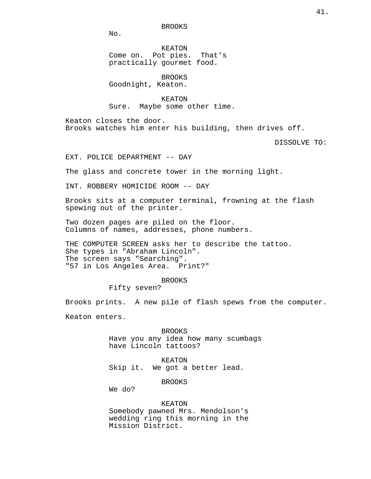BROOKS

No.

KEATON Come on. Pot pies. That's practically gourmet food.

BROOKS Goodnight, Keaton.

KEATON Sure. Maybe some other time.

Keaton closes the door. Brooks watches him enter his building, then drives off.

DISSOLVE TO:

EXT. POLICE DEPARTMENT -- DAY

The glass and concrete tower in the morning light.

INT. ROBBERY HOMICIDE ROOM -- DAY

Brooks sits at a computer terminal, frowning at the flash spewing out of the printer.

Two dozen pages are piled on the floor. Columns of names, addresses, phone numbers.

THE COMPUTER SCREEN asks her to describe the tattoo. She types in "Abraham Lincoln". The screen says "Searching". "57 in Los Angeles Area. Print?"

BROOKS

Fifty seven?

Brooks prints. A new pile of flash spews from the computer.

Keaton enters.

BROOKS Have you any idea how many scumbags have Lincoln tattoos?

KEATON Skip it. We got a better lead.

BROOKS

We do?

#### KEATON

Somebody pawned Mrs. Mendolson's wedding ring this morning in the Mission District.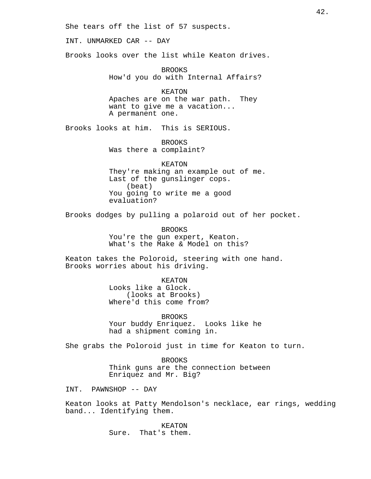She tears off the list of 57 suspects.

INT. UNMARKED CAR -- DAY

Brooks looks over the list while Keaton drives.

BROOKS How'd you do with Internal Affairs?

KEATON Apaches are on the war path. They want to give me a vacation... A permanent one.

Brooks looks at him. This is SERIOUS.

BROOKS Was there a complaint?

KEATON They're making an example out of me. Last of the gunslinger cops. (beat) You going to write me a good evaluation?

Brooks dodges by pulling a polaroid out of her pocket.

BROOKS You're the gun expert, Keaton. What's the Make & Model on this?

Keaton takes the Poloroid, steering with one hand. Brooks worries about his driving.

> KEATON Looks like a Glock. (looks at Brooks)

Where'd this come from?

BROOKS Your buddy Enriquez. Looks like he had a shipment coming in.

She grabs the Poloroid just in time for Keaton to turn.

BROOKS Think guns are the connection between Enriquez and Mr. Big?

INT. PAWNSHOP -- DAY

Keaton looks at Patty Mendolson's necklace, ear rings, wedding band... Identifying them.

> KEATON Sure. That's them.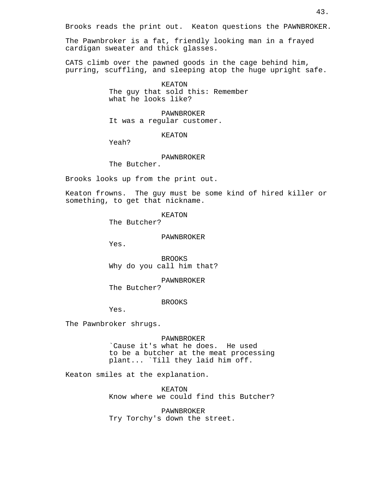Brooks reads the print out. Keaton questions the PAWNBROKER.

The Pawnbroker is a fat, friendly looking man in a frayed cardigan sweater and thick glasses.

CATS climb over the pawned goods in the cage behind him, purring, scuffling, and sleeping atop the huge upright safe.

> KEATON The guy that sold this: Remember what he looks like?

PAWNBROKER It was a regular customer.

### KEATON

Yeah?

## PAWNBROKER

The Butcher.

Brooks looks up from the print out.

Keaton frowns. The guy must be some kind of hired killer or something, to get that nickname.

KEATON

The Butcher?

PAWNBROKER

Yes.

BROOKS Why do you call him that?

PAWNBROKER The Butcher?

BROOKS

Yes.

The Pawnbroker shrugs.

PAWNBROKER `Cause it's what he does. He used to be a butcher at the meat processing plant... `Till they laid him off.

Keaton smiles at the explanation.

KEATON Know where we could find this Butcher?

PAWNBROKER Try Torchy's down the street.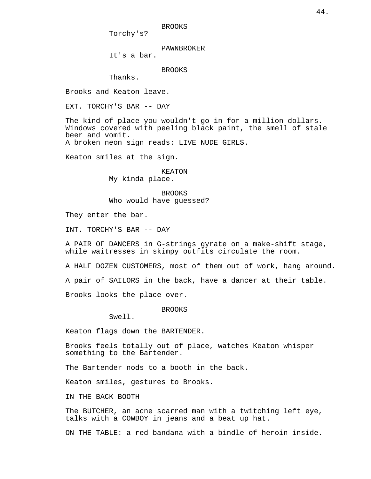BROOKS

Torchy's?

PAWNBROKER

It's a bar.

BROOKS

Thanks.

Brooks and Keaton leave.

EXT. TORCHY'S BAR -- DAY

The kind of place you wouldn't go in for a million dollars. Windows covered with peeling black paint, the smell of stale beer and vomit. A broken neon sign reads: LIVE NUDE GIRLS.

Keaton smiles at the sign.

### KEATON

My kinda place.

BROOKS Who would have guessed?

They enter the bar.

INT. TORCHY'S BAR -- DAY

A PAIR OF DANCERS in G-strings gyrate on a make-shift stage, while waitresses in skimpy outfits circulate the room.

A HALF DOZEN CUSTOMERS, most of them out of work, hang around.

A pair of SAILORS in the back, have a dancer at their table.

Brooks looks the place over.

BROOKS

Swell.

Keaton flags down the BARTENDER.

Brooks feels totally out of place, watches Keaton whisper something to the Bartender.

The Bartender nods to a booth in the back.

Keaton smiles, gestures to Brooks.

IN THE BACK BOOTH

The BUTCHER, an acne scarred man with a twitching left eye, talks with a COWBOY in jeans and a beat up hat.

ON THE TABLE: a red bandana with a bindle of heroin inside.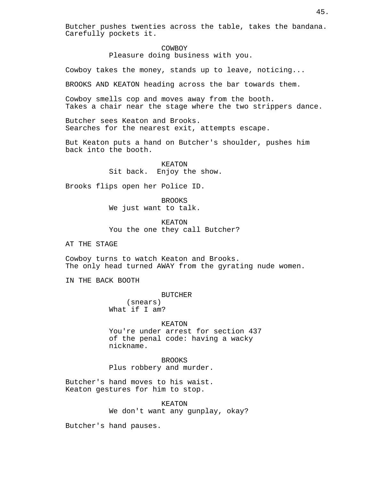Butcher pushes twenties across the table, takes the bandana. Carefully pockets it.

### COWBOY

Pleasure doing business with you.

Cowboy takes the money, stands up to leave, noticing...

BROOKS AND KEATON heading across the bar towards them.

Cowboy smells cop and moves away from the booth. Takes a chair near the stage where the two strippers dance.

Butcher sees Keaton and Brooks. Searches for the nearest exit, attempts escape.

But Keaton puts a hand on Butcher's shoulder, pushes him back into the booth.

> KEATON Sit back. Enjoy the show.

Brooks flips open her Police ID.

BROOKS We just want to talk.

KEATON You the one they call Butcher?

AT THE STAGE

Cowboy turns to watch Keaton and Brooks. The only head turned AWAY from the gyrating nude women.

IN THE BACK BOOTH

BUTCHER

(snears) What if I am?

KEATON You're under arrest for section 437 of the penal code: having a wacky nickname.

BROOKS Plus robbery and murder.

Butcher's hand moves to his waist. Keaton gestures for him to stop.

> KEATON We don't want any gunplay, okay?

Butcher's hand pauses.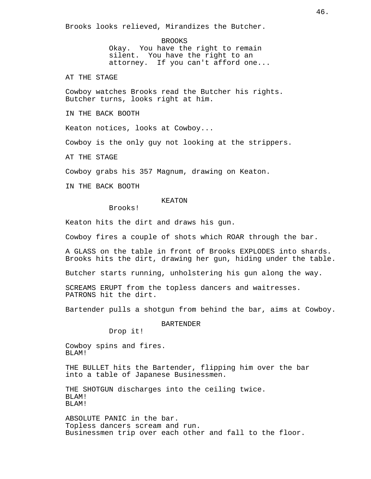Brooks looks relieved, Mirandizes the Butcher.

BROOKS Okay. You have the right to remain silent. You have the right to an attorney. If you can't afford one...

AT THE STAGE

Cowboy watches Brooks read the Butcher his rights. Butcher turns, looks right at him.

IN THE BACK BOOTH

Keaton notices, looks at Cowboy...

Cowboy is the only guy not looking at the strippers.

AT THE STAGE

Cowboy grabs his 357 Magnum, drawing on Keaton.

IN THE BACK BOOTH

## KEATON

Brooks!

Keaton hits the dirt and draws his gun.

Cowboy fires a couple of shots which ROAR through the bar.

A GLASS on the table in front of Brooks EXPLODES into shards. Brooks hits the dirt, drawing her gun, hiding under the table.

Butcher starts running, unholstering his gun along the way.

SCREAMS ERUPT from the topless dancers and waitresses. PATRONS hit the dirt.

Bartender pulls a shotgun from behind the bar, aims at Cowboy.

BARTENDER

Drop it!

Cowboy spins and fires. BLAM!

THE BULLET hits the Bartender, flipping him over the bar into a table of Japanese Businessmen.

THE SHOTGUN discharges into the ceiling twice. BLAM! BLAM!

ABSOLUTE PANIC in the bar. Topless dancers scream and run. Businessmen trip over each other and fall to the floor.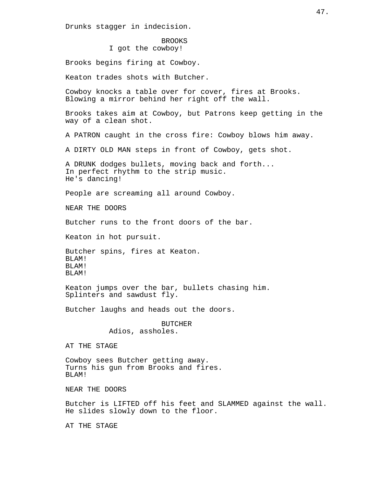Drunks stagger in indecision.

BROOKS I got the cowboy!

Brooks begins firing at Cowboy.

Keaton trades shots with Butcher.

Cowboy knocks a table over for cover, fires at Brooks. Blowing a mirror behind her right off the wall.

Brooks takes aim at Cowboy, but Patrons keep getting in the way of a clean shot.

A PATRON caught in the cross fire: Cowboy blows him away.

A DIRTY OLD MAN steps in front of Cowboy, gets shot.

A DRUNK dodges bullets, moving back and forth... In perfect rhythm to the strip music. He's dancing!

People are screaming all around Cowboy.

NEAR THE DOORS

Butcher runs to the front doors of the bar.

Keaton in hot pursuit.

Butcher spins, fires at Keaton. BLAM! BLAM! BLAM!

Keaton jumps over the bar, bullets chasing him. Splinters and sawdust fly.

Butcher laughs and heads out the doors.

BUTCHER Adios, assholes.

AT THE STAGE

Cowboy sees Butcher getting away. Turns his gun from Brooks and fires. BLAM!

NEAR THE DOORS

Butcher is LIFTED off his feet and SLAMMED against the wall. He slides slowly down to the floor.

AT THE STAGE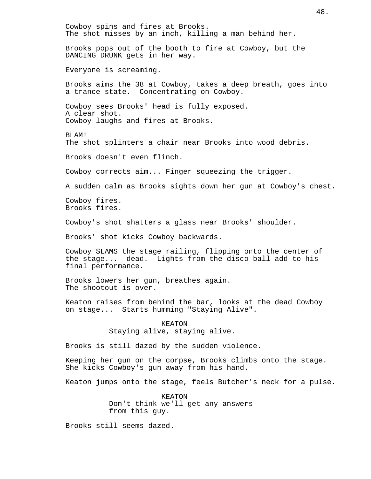Cowboy spins and fires at Brooks. The shot misses by an inch, killing a man behind her. Brooks pops out of the booth to fire at Cowboy, but the DANCING DRUNK gets in her way. Everyone is screaming. Brooks aims the 38 at Cowboy, takes a deep breath, goes into a trance state. Concentrating on Cowboy. Cowboy sees Brooks' head is fully exposed. A clear shot. Cowboy laughs and fires at Brooks. BLAM! The shot splinters a chair near Brooks into wood debris. Brooks doesn't even flinch. Cowboy corrects aim... Finger squeezing the trigger. A sudden calm as Brooks sights down her gun at Cowboy's chest. Cowboy fires. Brooks fires. Cowboy's shot shatters a glass near Brooks' shoulder. Brooks' shot kicks Cowboy backwards. Cowboy SLAMS the stage railing, flipping onto the center of the stage... dead. Lights from the disco ball add to his final performance. Brooks lowers her gun, breathes again. The shootout is over. Keaton raises from behind the bar, looks at the dead Cowboy on stage... Starts humming "Staying Alive". KEATON Staying alive, staying alive. Brooks is still dazed by the sudden violence. Keeping her gun on the corpse, Brooks climbs onto the stage. She kicks Cowboy's gun away from his hand. Keaton jumps onto the stage, feels Butcher's neck for a pulse. KEATON Don't think we'll get any answers from this guy. Brooks still seems dazed.

48.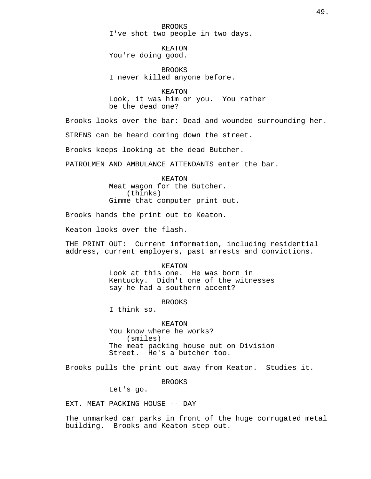BROOKS I've shot two people in two days.

KEATON You're doing good.

BROOKS I never killed anyone before.

KEATON Look, it was him or you. You rather be the dead one?

Brooks looks over the bar: Dead and wounded surrounding her.

SIRENS can be heard coming down the street.

Brooks keeps looking at the dead Butcher.

PATROLMEN AND AMBULANCE ATTENDANTS enter the bar.

KEATON Meat wagon for the Butcher. (thinks) Gimme that computer print out.

Brooks hands the print out to Keaton.

Keaton looks over the flash.

THE PRINT OUT: Current information, including residential address, current employers, past arrests and convictions.

## KEATON

Look at this one. He was born in Kentucky. Didn't one of the witnesses say he had a southern accent?

# BROOKS

I think so.

KEATON You know where he works? (smiles) The meat packing house out on Division Street. He's a butcher too.

Brooks pulls the print out away from Keaton. Studies it.

BROOKS

Let's go.

EXT. MEAT PACKING HOUSE -- DAY

The unmarked car parks in front of the huge corrugated metal building. Brooks and Keaton step out.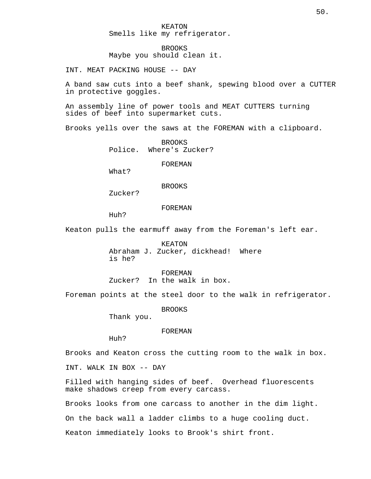BROOKS Maybe you should clean it.

INT. MEAT PACKING HOUSE -- DAY

A band saw cuts into a beef shank, spewing blood over a CUTTER in protective goggles.

An assembly line of power tools and MEAT CUTTERS turning sides of beef into supermarket cuts.

Brooks yells over the saws at the FOREMAN with a clipboard.

BROOKS Police. Where's Zucker?

FOREMAN

What?

BROOKS

Zucker?

FOREMAN

Huh?

Keaton pulls the earmuff away from the Foreman's left ear.

KEATON Abraham J. Zucker, dickhead! Where is he?

FOREMAN Zucker? In the walk in box.

Foreman points at the steel door to the walk in refrigerator.

BROOKS

Thank you.

FOREMAN

Huh?

Brooks and Keaton cross the cutting room to the walk in box.

INT. WALK IN BOX -- DAY

Filled with hanging sides of beef. Overhead fluorescents make shadows creep from every carcass.

Brooks looks from one carcass to another in the dim light.

On the back wall a ladder climbs to a huge cooling duct.

Keaton immediately looks to Brook's shirt front.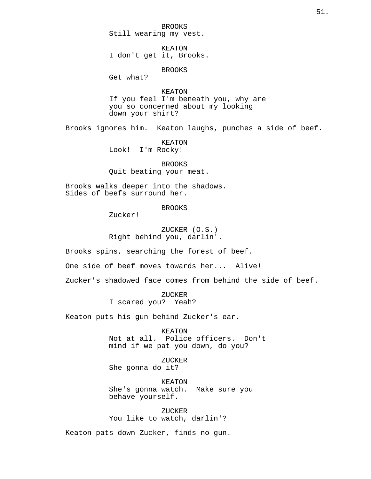BROOKS Still wearing my vest.

KEATON I don't get it, Brooks.

BROOKS

Get what?

KEATON If you feel I'm beneath you, why are you so concerned about my looking down your shirt?

Brooks ignores him. Keaton laughs, punches a side of beef.

KEATON Look! I'm Rocky!

BROOKS Quit beating your meat.

Brooks walks deeper into the shadows. Sides of beefs surround her.

**BROOKS** 

Zucker!

ZUCKER (O.S.) Right behind you, darlin'.

Brooks spins, searching the forest of beef.

One side of beef moves towards her... Alive!

Zucker's shadowed face comes from behind the side of beef.

ZUCKER I scared you? Yeah?

Keaton puts his gun behind Zucker's ear.

KEATON Not at all. Police officers. Don't mind if we pat you down, do you?

ZUCKER She gonna do it?

KEATON She's gonna watch. Make sure you behave yourself.

ZUCKER You like to watch, darlin'?

Keaton pats down Zucker, finds no gun.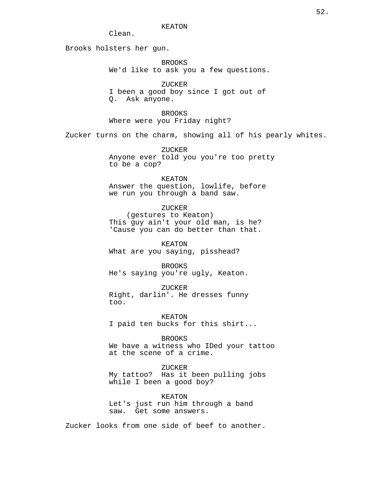Clean.

Brooks holsters her gun.

BROOKS We'd like to ask you a few questions.

ZUCKER I been a good boy since I got out of Q. Ask anyone.

BROOKS Where were you Friday night?

Zucker turns on the charm, showing all of his pearly whites.

ZUCKER Anyone ever told you you're too pretty to be a cop?

KEATON Answer the question, lowlife, before we run you through a band saw.

ZUCKER (gestures to Keaton) This guy ain't your old man, is he? 'Cause you can do better than that.

KEATON What are you saying, pisshead?

BROOKS He's saying you're ugly, Keaton.

ZUCKER Right, darlin'. He dresses funny too.

KEATON I paid ten bucks for this shirt...

BROOKS We have a witness who IDed your tattoo at the scene of a crime.

ZUCKER My tattoo? Has it been pulling jobs while I been a good boy?

KEATON Let's just run him through a band saw. Get some answers.

Zucker looks from one side of beef to another.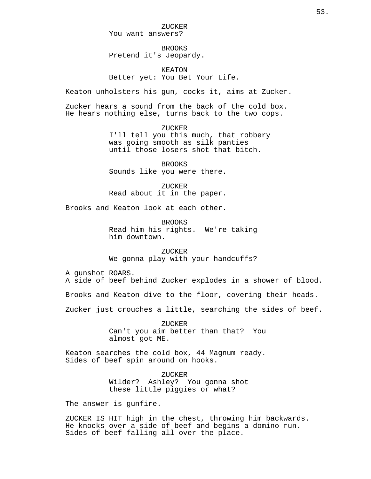ZUCKER You want answers?

BROOKS Pretend it's Jeopardy.

KEATON Better yet: You Bet Your Life.

Keaton unholsters his gun, cocks it, aims at Zucker.

Zucker hears a sound from the back of the cold box. He hears nothing else, turns back to the two cops.

> ZUCKER I'll tell you this much, that robbery was going smooth as silk panties until those losers shot that bitch.

BROOKS Sounds like you were there.

ZUCKER Read about it in the paper.

Brooks and Keaton look at each other.

BROOKS Read him his rights. We're taking him downtown.

ZUCKER We gonna play with your handcuffs?

A gunshot ROARS.

A side of beef behind Zucker explodes in a shower of blood.

Brooks and Keaton dive to the floor, covering their heads.

Zucker just crouches a little, searching the sides of beef.

ZUCKER Can't you aim better than that? You almost got ME.

Keaton searches the cold box, 44 Magnum ready. Sides of beef spin around on hooks.

> ZUCKER Wilder? Ashley? You gonna shot these little piggies or what?

The answer is gunfire.

ZUCKER IS HIT high in the chest, throwing him backwards. He knocks over a side of beef and begins a domino run. Sides of beef falling all over the place.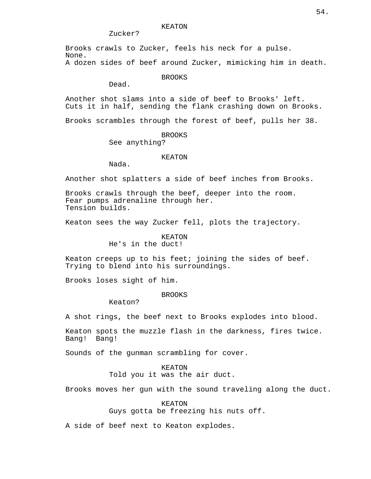# Zucker?

Brooks crawls to Zucker, feels his neck for a pulse. None.

A dozen sides of beef around Zucker, mimicking him in death.

# BROOKS

Dead.

Another shot slams into a side of beef to Brooks' left. Cuts it in half, sending the flank crashing down on Brooks.

Brooks scrambles through the forest of beef, pulls her 38.

## BROOKS

See anything?

## KEATON

Nada.

Another shot splatters a side of beef inches from Brooks.

Brooks crawls through the beef, deeper into the room. Fear pumps adrenaline through her. Tension builds.

Keaton sees the way Zucker fell, plots the trajectory.

# KEATON

He's in the duct!

Keaton creeps up to his feet; joining the sides of beef. Trying to blend into his surroundings.

Brooks loses sight of him.

### BROOKS

Keaton?

A shot rings, the beef next to Brooks explodes into blood.

Keaton spots the muzzle flash in the darkness, fires twice. Bang! Bang!

Sounds of the gunman scrambling for cover.

### KEATON

Told you it was the air duct.

Brooks moves her gun with the sound traveling along the duct.

#### KEATON

Guys gotta be freezing his nuts off.

A side of beef next to Keaton explodes.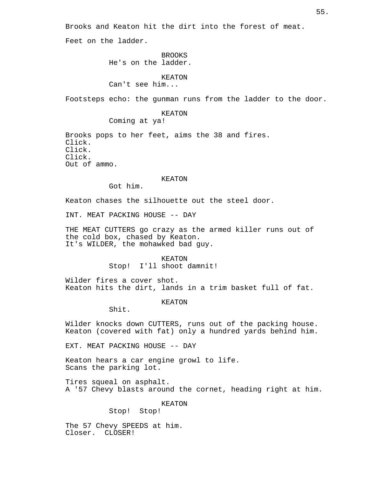Brooks and Keaton hit the dirt into the forest of meat.

Feet on the ladder.

BROOKS He's on the ladder.

KEATON Can't see him...

Footsteps echo: the gunman runs from the ladder to the door.

KEATON

Coming at ya!

Brooks pops to her feet, aims the 38 and fires. Click. Click. Click. Out of ammo.

# KEATON

Got him.

Keaton chases the silhouette out the steel door.

INT. MEAT PACKING HOUSE -- DAY

THE MEAT CUTTERS go crazy as the armed killer runs out of the cold box, chased by Keaton. It's WILDER, the mohawked bad guy.

> KEATON Stop! I'll shoot damnit!

Wilder fires a cover shot. Keaton hits the dirt, lands in a trim basket full of fat.

KEATON

Shit.

Wilder knocks down CUTTERS, runs out of the packing house. Keaton (covered with fat) only a hundred yards behind him.

EXT. MEAT PACKING HOUSE -- DAY

Keaton hears a car engine growl to life. Scans the parking lot.

Tires squeal on asphalt. A '57 Chevy blasts around the cornet, heading right at him.

KEATON

Stop! Stop!

The 57 Chevy SPEEDS at him. Closer. CLOSER!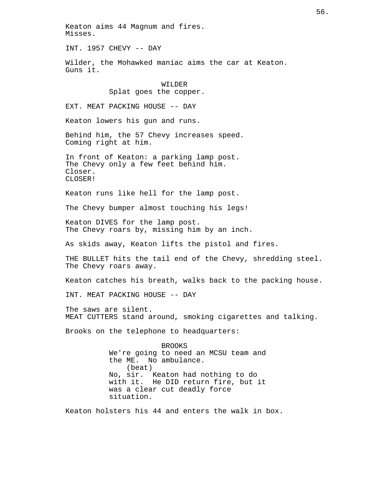Keaton aims 44 Magnum and fires. Misses. INT. 1957 CHEVY -- DAY Wilder, the Mohawked maniac aims the car at Keaton. Guns it. WILDER Splat goes the copper. EXT. MEAT PACKING HOUSE -- DAY Keaton lowers his gun and runs. Behind him, the 57 Chevy increases speed. Coming right at him. In front of Keaton: a parking lamp post. The Chevy only a few feet behind him. Closer. CLOSER! Keaton runs like hell for the lamp post. The Chevy bumper almost touching his legs! Keaton DIVES for the lamp post. The Chevy roars by, missing him by an inch. As skids away, Keaton lifts the pistol and fires. THE BULLET hits the tail end of the Chevy, shredding steel. The Chevy roars away. Keaton catches his breath, walks back to the packing house. INT. MEAT PACKING HOUSE -- DAY The saws are silent. MEAT CUTTERS stand around, smoking cigarettes and talking. Brooks on the telephone to headquarters: BROOKS We're going to need an MCSU team and the ME. No ambulance. (beat) No, sir. Keaton had nothing to do with it. He DID return fire, but it was a clear cut deadly force situation. Keaton holsters his 44 and enters the walk in box.

56.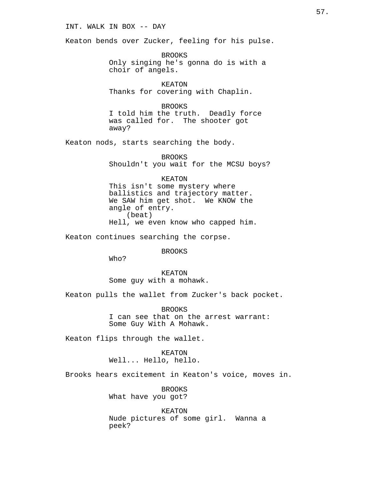# INT. WALK IN BOX -- DAY

Keaton bends over Zucker, feeling for his pulse.

BROOKS Only singing he's gonna do is with a choir of angels.

KEATON Thanks for covering with Chaplin.

BROOKS

I told him the truth. Deadly force was called for. The shooter got away?

Keaton nods, starts searching the body.

BROOKS Shouldn't you wait for the MCSU boys?

KEATON

This isn't some mystery where ballistics and trajectory matter. We SAW him get shot. We KNOW the angle of entry. (beat) Hell, we even know who capped him.

Keaton continues searching the corpse.

BROOKS

Who?

KEATON Some guy with a mohawk.

Keaton pulls the wallet from Zucker's back pocket.

BROOKS I can see that on the arrest warrant: Some Guy With A Mohawk.

Keaton flips through the wallet.

KEATON Well... Hello, hello.

Brooks hears excitement in Keaton's voice, moves in.

BROOKS What have you got?

KEATON Nude pictures of some girl. Wanna a peek?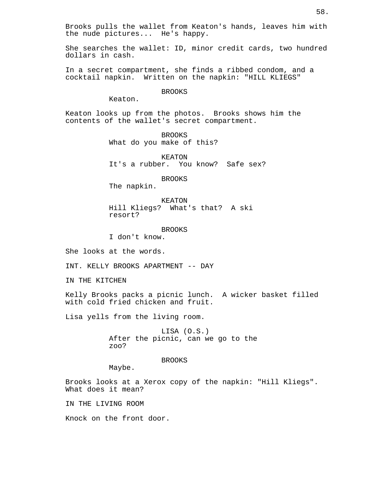Brooks pulls the wallet from Keaton's hands, leaves him with the nude pictures... He's happy.

She searches the wallet: ID, minor credit cards, two hundred dollars in cash.

In a secret compartment, she finds a ribbed condom, and a cocktail napkin. Written on the napkin: "HILL KLIEGS"

BROOKS

Keaton.

Keaton looks up from the photos. Brooks shows him the contents of the wallet's secret compartment.

> BROOKS What do you make of this?

KEATON It's a rubber. You know? Safe sex?

BROOKS

The napkin.

KEATON Hill Kliegs? What's that? A ski resort?

BROOKS I don't know.

She looks at the words.

INT. KELLY BROOKS APARTMENT -- DAY

IN THE KITCHEN

Kelly Brooks packs a picnic lunch. A wicker basket filled with cold fried chicken and fruit.

Lisa yells from the living room.

LISA (O.S.) After the picnic, can we go to the zoo?

## BROOKS

Maybe.

Brooks looks at a Xerox copy of the napkin: "Hill Kliegs". What does it mean?

IN THE LIVING ROOM

Knock on the front door.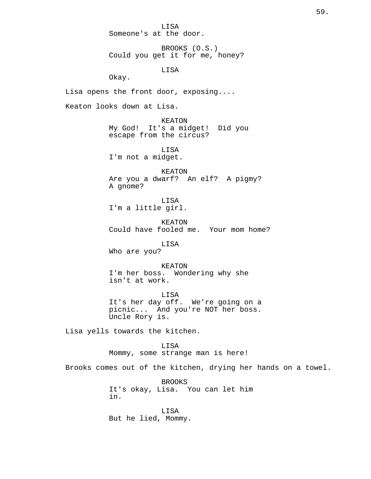LISA Someone's at the door.

BROOKS (O.S.) Could you get it for me, honey?

LISA

Okay.

Lisa opens the front door, exposing....

Keaton looks down at Lisa.

KEATON My God! It's a midget! Did you escape from the circus?

LISA I'm not a midget.

KEATON Are you a dwarf? An elf? A pigmy? A gnome?

LISA I'm a little girl.

KEATON Could have fooled me. Your mom home?

LISA

Who are you?

KEATON I'm her boss. Wondering why she isn't at work.

LISA It's her day off. We're going on a picnic... And you're NOT her boss. Uncle Rory is.

Lisa yells towards the kitchen.

LISA

Mommy, some strange man is here!

Brooks comes out of the kitchen, drying her hands on a towel.

BROOKS It's okay, Lisa. You can let him in.

LISA But he lied, Mommy.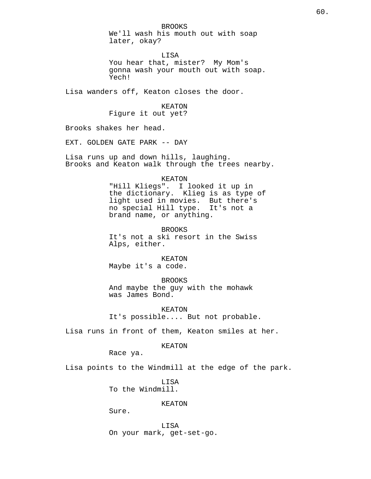BROOKS We'll wash his mouth out with soap later, okay?

LISA You hear that, mister? My Mom's gonna wash your mouth out with soap. Yech!

Lisa wanders off, Keaton closes the door.

KEATON Figure it out yet?

Brooks shakes her head.

EXT. GOLDEN GATE PARK -- DAY

Lisa runs up and down hills, laughing. Brooks and Keaton walk through the trees nearby.

KEATON

"Hill Kliegs". I looked it up in the dictionary. Klieg is as type of light used in movies. But there's no special Hill type. It's not a brand name, or anything.

BROOKS It's not a ski resort in the Swiss Alps, either.

KEATON Maybe it's a code.

BROOKS And maybe the guy with the mohawk was James Bond.

KEATON It's possible.... But not probable.

Lisa runs in front of them, Keaton smiles at her.

KEATON

Race ya.

Lisa points to the Windmill at the edge of the park.

LISA To the Windmill.

## KEATON

Sure.

LISA On your mark, get-set-go.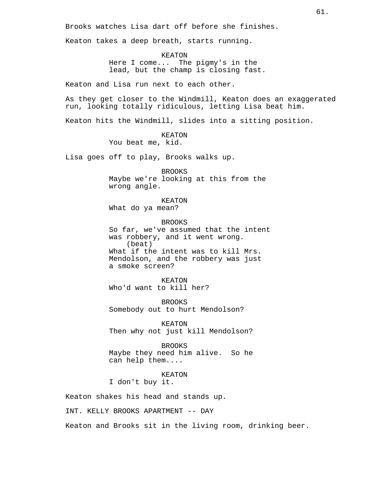Brooks watches Lisa dart off before she finishes.

Keaton takes a deep breath, starts running.

KEATON Here I come... The pigmy's in the lead, but the champ is closing fast.

Keaton and Lisa run next to each other.

As they get closer to the Windmill, Keaton does an exaggerated run, looking totally ridiculous, letting Lisa beat him.

Keaton hits the Windmill, slides into a sitting position.

KEATON You beat me, kid.

Lisa goes off to play, Brooks walks up.

BROOKS Maybe we're looking at this from the wrong angle.

KEATON What do ya mean?

BROOKS So far, we've assumed that the intent was robbery, and it went wrong. (beat) What if the intent was to kill Mrs. Mendolson, and the robbery was just a smoke screen?

KEATON Who'd want to kill her?

BROOKS Somebody out to hurt Mendolson?

KEATON Then why not just kill Mendolson?

BROOKS Maybe they need him alive. So he can help them....

KEATON I don't buy it.

Keaton shakes his head and stands up.

INT. KELLY BROOKS APARTMENT -- DAY

Keaton and Brooks sit in the living room, drinking beer.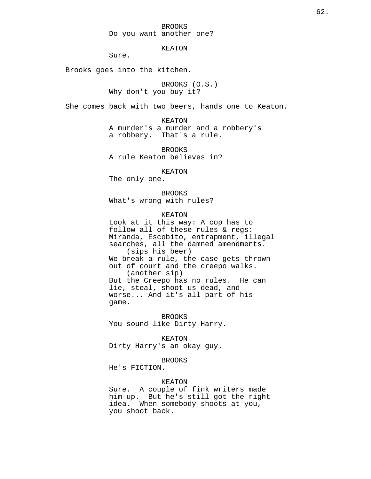KEATON

Sure.

Brooks goes into the kitchen.

BROOKS (O.S.) Why don't you buy it?

She comes back with two beers, hands one to Keaton.

KEATON A murder's a murder and a robbery's a robbery. That's a rule.

BROOKS A rule Keaton believes in?

KEATON

The only one.

BROOKS What's wrong with rules?

KEATON

Look at it this way: A cop has to follow all of these rules & regs: Miranda, Escobito, entrapment, illegal searches, all the damned amendments. (sips his beer) We break a rule, the case gets thrown out of court and the creepo walks. (another sip) But the Creepo has no rules. He can lie, steal, shoot us dead, and worse... And it's all part of his game.

BROOKS You sound like Dirty Harry.

KEATON Dirty Harry's an okay guy.

BROOKS

He's FICTION.

## KEATON

Sure. A couple of fink writers made him up. But he's still got the right idea. When somebody shoots at you, you shoot back.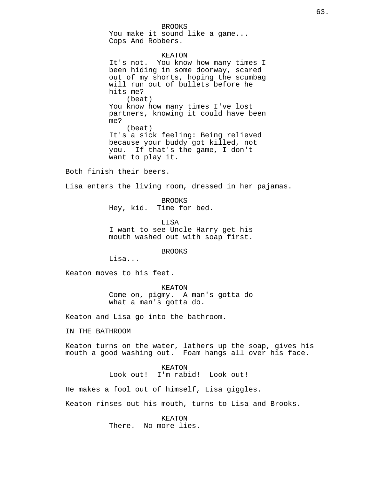BROOKS You make it sound like a game... Cops And Robbers.

KEATON It's not. You know how many times I been hiding in some doorway, scared out of my shorts, hoping the scumbag will run out of bullets before he hits me? (beat) You know how many times I've lost partners, knowing it could have been me? (beat) It's a sick feeling: Being relieved because your buddy got killed, not you. If that's the game, I don't want to play it.

Both finish their beers.

Lisa enters the living room, dressed in her pajamas.

BROOKS Hey, kid. Time for bed.

LISA I want to see Uncle Harry get his mouth washed out with soap first.

BROOKS

Lisa...

Keaton moves to his feet.

KEATON Come on, pigmy. A man's gotta do what a man's gotta do.

Keaton and Lisa go into the bathroom.

IN THE BATHROOM

Keaton turns on the water, lathers up the soap, gives his mouth a good washing out. Foam hangs all over his face.

KEATON

Look out! I'm rabid! Look out!

He makes a fool out of himself, Lisa giggles.

Keaton rinses out his mouth, turns to Lisa and Brooks.

KEATON There. No more lies.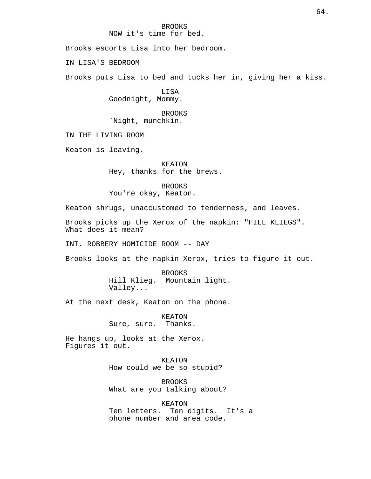Brooks escorts Lisa into her bedroom.

IN LISA'S BEDROOM

Brooks puts Lisa to bed and tucks her in, giving her a kiss.

LISA Goodnight, Mommy.

BROOKS `Night, munchkin.

IN THE LIVING ROOM

Keaton is leaving.

KEATON Hey, thanks for the brews.

BROOKS

You're okay, Keaton.

Keaton shrugs, unaccustomed to tenderness, and leaves.

Brooks picks up the Xerox of the napkin: "HILL KLIEGS". What does it mean?

INT. ROBBERY HOMICIDE ROOM -- DAY

Brooks looks at the napkin Xerox, tries to figure it out.

BROOKS Hill Klieg. Mountain light. Valley...

At the next desk, Keaton on the phone.

KEATON Sure, sure. Thanks.

He hangs up, looks at the Xerox. Figures it out.

> KEATON How could we be so stupid?

BROOKS What are you talking about?

KEATON Ten letters. Ten digits. It's a phone number and area code.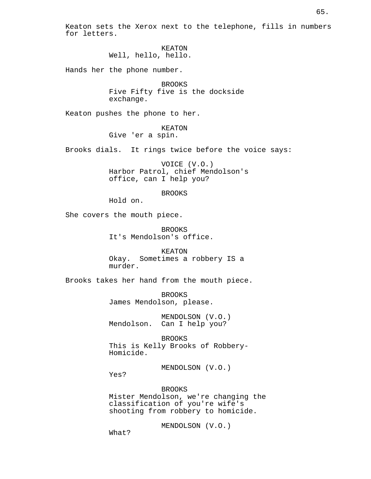Keaton sets the Xerox next to the telephone, fills in numbers for letters.

> KEATON Well, hello, hello.

Hands her the phone number.

BROOKS Five Fifty five is the dockside exchange.

Keaton pushes the phone to her.

KEATON Give 'er a spin.

Brooks dials. It rings twice before the voice says:

VOICE (V.O.) Harbor Patrol, chief Mendolson's office, can I help you?

# BROOKS

Hold on.

She covers the mouth piece.

BROOKS It's Mendolson's office.

KEATON Okay. Sometimes a robbery IS a murder.

Brooks takes her hand from the mouth piece.

BROOKS James Mendolson, please.

MENDOLSON (V.O.) Mendolson. Can I help you?

BROOKS This is Kelly Brooks of Robbery-Homicide.

MENDOLSON (V.O.)

Yes?

BROOKS

Mister Mendolson, we're changing the classification of you're wife's shooting from robbery to homicide.

MENDOLSON (V.O.)

What?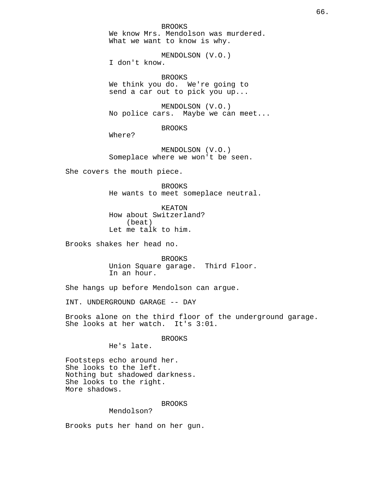BROOKS We know Mrs. Mendolson was murdered. What we want to know is why.

MENDOLSON (V.O.) I don't know.

BROOKS We think you do. We're going to send a car out to pick you up...

MENDOLSON (V.O.) No police cars. Maybe we can meet...

BROOKS

Where?

MENDOLSON (V.O.) Someplace where we won't be seen.

She covers the mouth piece.

BROOKS He wants to meet someplace neutral.

KEATON How about Switzerland? (beat) Let me talk to him.

Brooks shakes her head no.

BROOKS Union Square garage. Third Floor. In an hour.

She hangs up before Mendolson can argue.

INT. UNDERGROUND GARAGE -- DAY

Brooks alone on the third floor of the underground garage. She looks at her watch. It's 3:01.

BROOKS

He's late.

Footsteps echo around her. She looks to the left. Nothing but shadowed darkness. She looks to the right. More shadows.

### BROOKS

Mendolson?

Brooks puts her hand on her gun.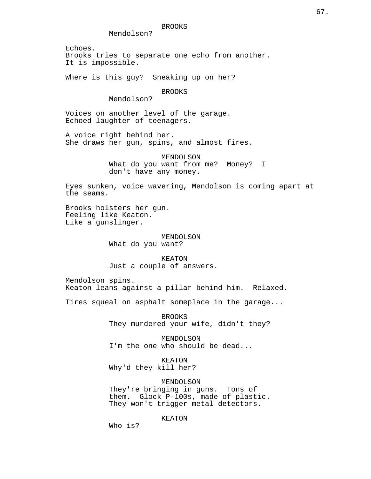Mendolson?

Echoes. Brooks tries to separate one echo from another. It is impossible.

Where is this guy? Sneaking up on her?

BROOKS

Mendolson?

Voices on another level of the garage. Echoed laughter of teenagers.

A voice right behind her. She draws her gun, spins, and almost fires.

> MENDOLSON What do you want from me? Money? I don't have any money.

Eyes sunken, voice wavering, Mendolson is coming apart at the seams.

Brooks holsters her gun. Feeling like Keaton. Like a gunslinger.

## MENDOLSON

What do you want?

KEATON Just a couple of answers.

Mendolson spins. Keaton leans against a pillar behind him. Relaxed.

Tires squeal on asphalt someplace in the garage...

BROOKS They murdered your wife, didn't they?

MENDOLSON I'm the one who should be dead...

KEATON Why'd they kill her?

MENDOLSON

They're bringing in guns. Tons of them. Glock P-100s, made of plastic. They won't trigger metal detectors.

KEATON

Who is?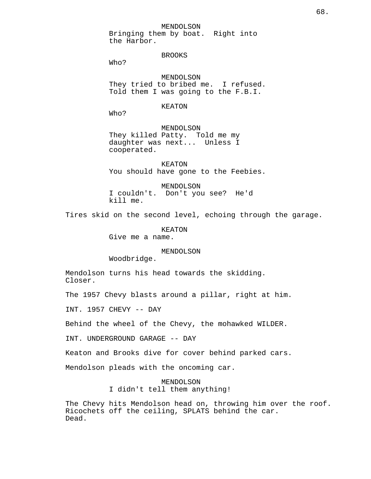### MENDOLSON

Bringing them by boat. Right into the Harbor.

## BROOKS

Who?

MENDOLSON They tried to bribed me. I refused. Told them I was going to the F.B.I.

## KEATON

Who?

MENDOLSON They killed Patty. Told me my daughter was next... Unless I cooperated.

KEATON You should have gone to the Feebies.

MENDOLSON I couldn't. Don't you see? He'd kill me.

Tires skid on the second level, echoing through the garage.

KEATON Give me a name.

## MENDOLSON

Woodbridge.

Mendolson turns his head towards the skidding. Closer.

The 1957 Chevy blasts around a pillar, right at him.

INT. 1957 CHEVY -- DAY

Behind the wheel of the Chevy, the mohawked WILDER.

INT. UNDERGROUND GARAGE -- DAY

Keaton and Brooks dive for cover behind parked cars.

Mendolson pleads with the oncoming car.

MENDOLSON I didn't tell them anything!

The Chevy hits Mendolson head on, throwing him over the roof. Ricochets off the ceiling, SPLATS behind the car. Dead.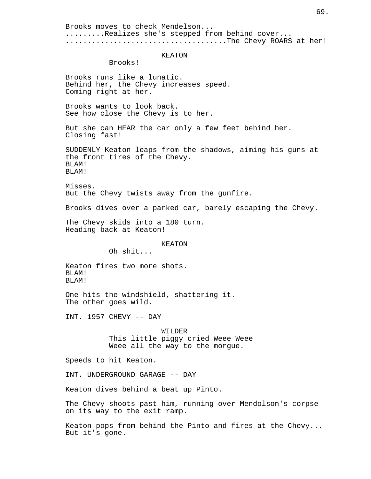Brooks moves to check Mendelson... .........Realizes she's stepped from behind cover... ..................................The Chevy ROARS at her! KEATON Brooks! Brooks runs like a lunatic. Behind her, the Chevy increases speed. Coming right at her. Brooks wants to look back. See how close the Chevy is to her. But she can HEAR the car only a few feet behind her. Closing fast! SUDDENLY Keaton leaps from the shadows, aiming his guns at the front tires of the Chevy. BLAM! BLAM! Misses. But the Chevy twists away from the gunfire. Brooks dives over a parked car, barely escaping the Chevy. The Chevy skids into a 180 turn. Heading back at Keaton! KEATON Oh shit... Keaton fires two more shots. BLAM! BLAM! One hits the windshield, shattering it. The other goes wild. INT. 1957 CHEVY -- DAY WILDER This little piggy cried Weee Weee Weee all the way to the morgue. Speeds to hit Keaton. INT. UNDERGROUND GARAGE -- DAY Keaton dives behind a beat up Pinto. The Chevy shoots past him, running over Mendolson's corpse on its way to the exit ramp. Keaton pops from behind the Pinto and fires at the Chevy... But it's gone.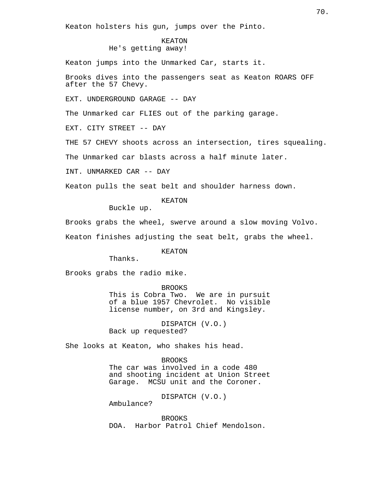Keaton holsters his gun, jumps over the Pinto.

# KEATON He's getting away!

Keaton jumps into the Unmarked Car, starts it.

Brooks dives into the passengers seat as Keaton ROARS OFF after the 57 Chevy.

EXT. UNDERGROUND GARAGE -- DAY

The Unmarked car FLIES out of the parking garage.

EXT. CITY STREET -- DAY

THE 57 CHEVY shoots across an intersection, tires squealing.

The Unmarked car blasts across a half minute later.

INT. UNMARKED CAR -- DAY

Keaton pulls the seat belt and shoulder harness down.

# KEATON

Buckle up.

Brooks grabs the wheel, swerve around a slow moving Volvo.

Keaton finishes adjusting the seat belt, grabs the wheel.

KEATON

Thanks.

Brooks grabs the radio mike.

BROOKS

This is Cobra Two. We are in pursuit of a blue 1957 Chevrolet. No visible license number, on 3rd and Kingsley.

DISPATCH (V.O.) Back up requested?

She looks at Keaton, who shakes his head.

## BROOKS

The car was involved in a code 480 and shooting incident at Union Street Garage. MCSU unit and the Coroner.

DISPATCH (V.O.)

Ambulance?

BROOKS DOA. Harbor Patrol Chief Mendolson.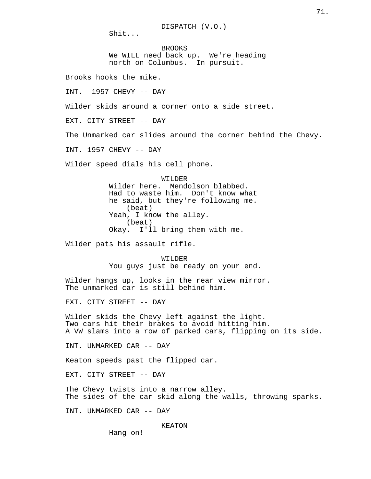Shit...

BROOKS We WILL need back up. We're heading north on Columbus. In pursuit.

Brooks hooks the mike.

INT. 1957 CHEVY -- DAY

Wilder skids around a corner onto a side street.

EXT. CITY STREET -- DAY

The Unmarked car slides around the corner behind the Chevy.

INT. 1957 CHEVY -- DAY

Wilder speed dials his cell phone.

WILDER Wilder here. Mendolson blabbed. Had to waste him. Don't know what he said, but they're following me. (beat) Yeah, I know the alley. (beat) Okay. I'll bring them with me.

Wilder pats his assault rifle.

WILDER You guys just be ready on your end.

Wilder hangs up, looks in the rear view mirror. The unmarked car is still behind him.

EXT. CITY STREET -- DAY

Wilder skids the Chevy left against the light. Two cars hit their brakes to avoid hitting him. A VW slams into a row of parked cars, flipping on its side.

INT. UNMARKED CAR -- DAY

Keaton speeds past the flipped car.

EXT. CITY STREET -- DAY

The Chevy twists into a narrow alley. The sides of the car skid along the walls, throwing sparks.

INT. UNMARKED CAR -- DAY

KEATON

Hang on!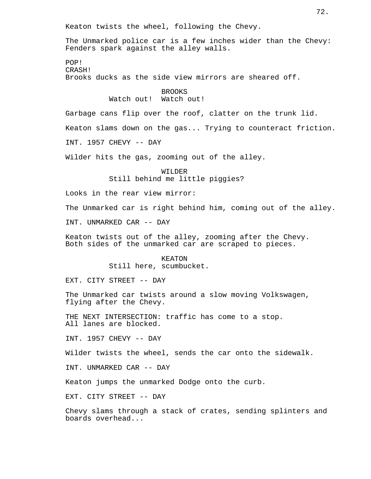Keaton twists the wheel, following the Chevy.

The Unmarked police car is a few inches wider than the Chevy: Fenders spark against the alley walls.

POP! CRASH! Brooks ducks as the side view mirrors are sheared off.

> BROOKS Watch out! Watch out!

Garbage cans flip over the roof, clatter on the trunk lid.

Keaton slams down on the gas... Trying to counteract friction.

INT. 1957 CHEVY -- DAY

Wilder hits the gas, zooming out of the alley.

WILDER Still behind me little piggies?

Looks in the rear view mirror:

The Unmarked car is right behind him, coming out of the alley.

INT. UNMARKED CAR -- DAY

Keaton twists out of the alley, zooming after the Chevy. Both sides of the unmarked car are scraped to pieces.

> KEATON Still here, scumbucket.

EXT. CITY STREET -- DAY

The Unmarked car twists around a slow moving Volkswagen, flying after the Chevy.

THE NEXT INTERSECTION: traffic has come to a stop. All lanes are blocked.

INT. 1957 CHEVY -- DAY

Wilder twists the wheel, sends the car onto the sidewalk.

INT. UNMARKED CAR -- DAY

Keaton jumps the unmarked Dodge onto the curb.

EXT. CITY STREET -- DAY

Chevy slams through a stack of crates, sending splinters and boards overhead...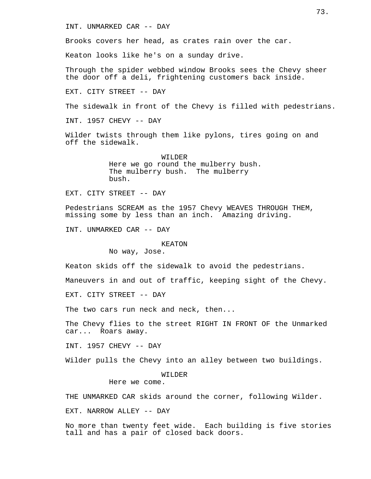## INT. UNMARKED CAR -- DAY

Brooks covers her head, as crates rain over the car.

Keaton looks like he's on a sunday drive.

Through the spider webbed window Brooks sees the Chevy sheer the door off a deli, frightening customers back inside.

EXT. CITY STREET -- DAY

The sidewalk in front of the Chevy is filled with pedestrians.

INT. 1957 CHEVY -- DAY

Wilder twists through them like pylons, tires going on and off the sidewalk.

> WILDER Here we go round the mulberry bush. The mulberry bush. The mulberry bush.

EXT. CITY STREET -- DAY

Pedestrians SCREAM as the 1957 Chevy WEAVES THROUGH THEM, missing some by less than an inch. Amazing driving.

INT. UNMARKED CAR -- DAY

#### KEATON

No way, Jose.

Keaton skids off the sidewalk to avoid the pedestrians.

Maneuvers in and out of traffic, keeping sight of the Chevy.

EXT. CITY STREET -- DAY

The two cars run neck and neck, then...

The Chevy flies to the street RIGHT IN FRONT OF the Unmarked car... Roars away.

INT. 1957 CHEVY -- DAY

Wilder pulls the Chevy into an alley between two buildings.

WILDER

Here we come.

THE UNMARKED CAR skids around the corner, following Wilder.

EXT. NARROW ALLEY -- DAY

No more than twenty feet wide. Each building is five stories tall and has a pair of closed back doors.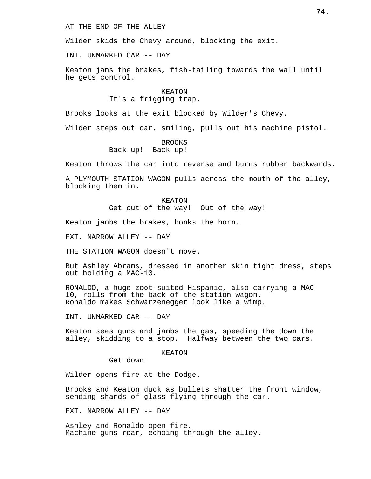AT THE END OF THE ALLEY

Wilder skids the Chevy around, blocking the exit.

INT. UNMARKED CAR -- DAY

Keaton jams the brakes, fish-tailing towards the wall until he gets control.

## KEATON It's a frigging trap.

Brooks looks at the exit blocked by Wilder's Chevy.

Wilder steps out car, smiling, pulls out his machine pistol.

BROOKS Back up! Back up!

Keaton throws the car into reverse and burns rubber backwards.

A PLYMOUTH STATION WAGON pulls across the mouth of the alley, blocking them in.

> KEATON Get out of the way! Out of the way!

Keaton jambs the brakes, honks the horn.

EXT. NARROW ALLEY -- DAY

THE STATION WAGON doesn't move.

But Ashley Abrams, dressed in another skin tight dress, steps out holding a MAC-10.

RONALDO, a huge zoot-suited Hispanic, also carrying a MAC-10, rolls from the back of the station wagon. Ronaldo makes Schwarzenegger look like a wimp.

INT. UNMARKED CAR -- DAY

Keaton sees guns and jambs the gas, speeding the down the alley, skidding to a stop. Halfway between the two cars.

## KEATON

Get down!

Wilder opens fire at the Dodge.

Brooks and Keaton duck as bullets shatter the front window, sending shards of glass flying through the car.

EXT. NARROW ALLEY -- DAY

Ashley and Ronaldo open fire. Machine guns roar, echoing through the alley.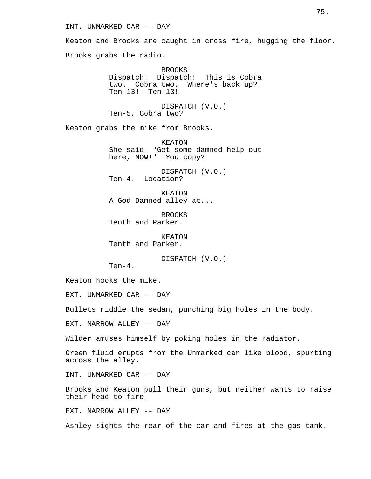## INT. UNMARKED CAR -- DAY

Keaton and Brooks are caught in cross fire, hugging the floor. Brooks grabs the radio.

> BROOKS Dispatch! Dispatch! This is Cobra two. Cobra two. Where's back up? Ten-13! Ten-13!

DISPATCH (V.O.) Ten-5, Cobra two?

Keaton grabs the mike from Brooks.

KEATON She said: "Get some damned help out here, NOW!" You copy?

DISPATCH (V.O.) Ten-4. Location?

KEATON A God Damned alley at...

BROOKS Tenth and Parker.

KEATON Tenth and Parker.

DISPATCH (V.O.)

Ten-4.

Keaton hooks the mike.

EXT. UNMARKED CAR -- DAY

Bullets riddle the sedan, punching big holes in the body.

EXT. NARROW ALLEY -- DAY

Wilder amuses himself by poking holes in the radiator.

Green fluid erupts from the Unmarked car like blood, spurting across the alley.

INT. UNMARKED CAR -- DAY

Brooks and Keaton pull their guns, but neither wants to raise their head to fire.

EXT. NARROW ALLEY -- DAY

Ashley sights the rear of the car and fires at the gas tank.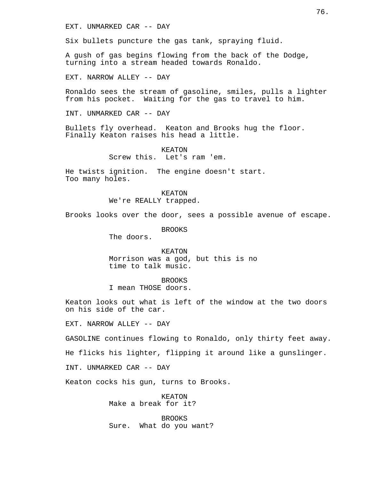EXT. UNMARKED CAR -- DAY

Six bullets puncture the gas tank, spraying fluid.

A gush of gas begins flowing from the back of the Dodge, turning into a stream headed towards Ronaldo.

EXT. NARROW ALLEY -- DAY

Ronaldo sees the stream of gasoline, smiles, pulls a lighter from his pocket. Waiting for the gas to travel to him.

INT. UNMARKED CAR -- DAY

Bullets fly overhead. Keaton and Brooks hug the floor. Finally Keaton raises his head a little.

> KEATON Screw this. Let's ram 'em.

He twists ignition. The engine doesn't start. Too many holes.

> KEATON We're REALLY trapped.

Brooks looks over the door, sees a possible avenue of escape.

BROOKS

The doors.

KEATON Morrison was a god, but this is no time to talk music.

BROOKS I mean THOSE doors.

Keaton looks out what is left of the window at the two doors on his side of the car.

EXT. NARROW ALLEY -- DAY

GASOLINE continues flowing to Ronaldo, only thirty feet away.

He flicks his lighter, flipping it around like a gunslinger.

INT. UNMARKED CAR -- DAY

Keaton cocks his gun, turns to Brooks.

KEATON Make a break for it?

BROOKS Sure. What do you want?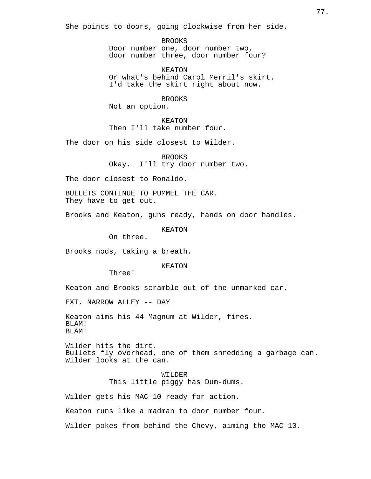She points to doors, going clockwise from her side.

BROOKS Door number one, door number two, door number three, door number four?

KEATON Or what's behind Carol Merril's skirt. I'd take the skirt right about now.

BROOKS Not an option.

KEATON Then I'll take number four.

The door on his side closest to Wilder.

BROOKS Okay. I'll try door number two.

The door closest to Ronaldo.

BULLETS CONTINUE TO PUMMEL THE CAR. They have to get out.

Brooks and Keaton, guns ready, hands on door handles.

KEATON

On three.

Brooks nods, taking a breath.

KEATON

Three!

Keaton and Brooks scramble out of the unmarked car.

EXT. NARROW ALLEY -- DAY

Keaton aims his 44 Magnum at Wilder, fires. BLAM! BLAM!

Wilder hits the dirt. Bullets fly overhead, one of them shredding a garbage can. Wilder looks at the can.

> WILDER This little piggy has Dum-dums.

Wilder gets his MAC-10 ready for action.

Keaton runs like a madman to door number four.

Wilder pokes from behind the Chevy, aiming the MAC-10.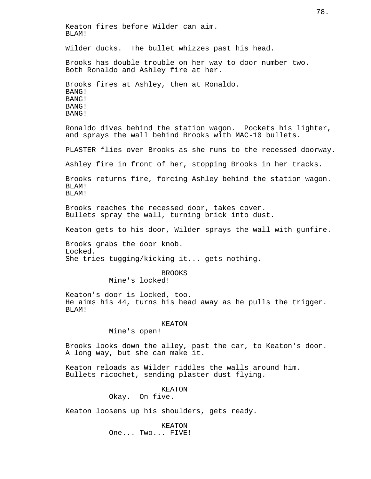Keaton fires before Wilder can aim. BLAM! Wilder ducks. The bullet whizzes past his head. Brooks has double trouble on her way to door number two. Both Ronaldo and Ashley fire at her. Brooks fires at Ashley, then at Ronaldo. BANG! BANG! BANG! BANG! Ronaldo dives behind the station wagon. Pockets his lighter, and sprays the wall behind Brooks with MAC-10 bullets. PLASTER flies over Brooks as she runs to the recessed doorway. Ashley fire in front of her, stopping Brooks in her tracks. Brooks returns fire, forcing Ashley behind the station wagon. BLAM! BLAM! Brooks reaches the recessed door, takes cover. Bullets spray the wall, turning brick into dust. Keaton gets to his door, Wilder sprays the wall with gunfire. Brooks grabs the door knob. Locked. She tries tugging/kicking it... gets nothing. BROOKS Mine's locked! Keaton's door is locked, too. He aims his 44, turns his head away as he pulls the trigger. BLAM! KEATON Mine's open! Brooks looks down the alley, past the car, to Keaton's door. A long way, but she can make it. Keaton reloads as Wilder riddles the walls around him. Bullets ricochet, sending plaster dust flying. KEATON Okay. On five. Keaton loosens up his shoulders, gets ready. KEATON One... Two... FIVE!

78.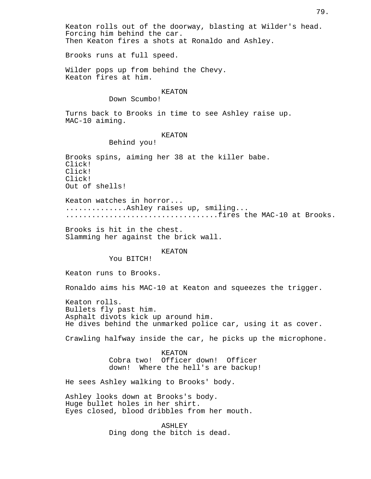Then Keaton fires a shots at Ronaldo and Ashley.

Brooks runs at full speed.

Wilder pops up from behind the Chevy. Keaton fires at him.

## KEATON

Down Scumbo!

Turns back to Brooks in time to see Ashley raise up. MAC-10 aiming.

## KEATON

Behind you!

Brooks spins, aiming her 38 at the killer babe. Click! Click! Click! Out of shells!

Keaton watches in horror... ..............Ashley raises up, smiling... ...................................fires the MAC-10 at Brooks.

Brooks is hit in the chest. Slamming her against the brick wall.

#### KEATON

You BITCH!

Keaton runs to Brooks.

Ronaldo aims his MAC-10 at Keaton and squeezes the trigger.

Keaton rolls. Bullets fly past him. Asphalt divots kick up around him. He dives behind the unmarked police car, using it as cover.

Crawling halfway inside the car, he picks up the microphone.

KEATON Cobra two! Officer down! Officer down! Where the hell's are backup!

He sees Ashley walking to Brooks' body.

Ashley looks down at Brooks's body. Huge bullet holes in her shirt. Eyes closed, blood dribbles from her mouth.

> ASHLEY Ding dong the bitch is dead.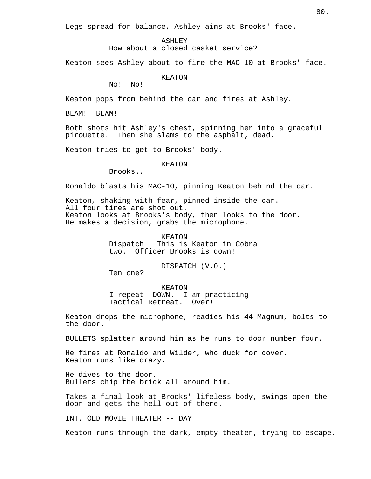Legs spread for balance, Ashley aims at Brooks' face.

ASHLEY

How about a closed casket service?

Keaton sees Ashley about to fire the MAC-10 at Brooks' face.

KEATON

No! No!

Keaton pops from behind the car and fires at Ashley.

BLAM! BLAM!

Both shots hit Ashley's chest, spinning her into a graceful pirouette. Then she slams to the asphalt, dead.

Keaton tries to get to Brooks' body.

#### KEATON

Brooks...

Ronaldo blasts his MAC-10, pinning Keaton behind the car.

Keaton, shaking with fear, pinned inside the car. All four tires are shot out. Keaton looks at Brooks's body, then looks to the door. He makes a decision, grabs the microphone.

> KEATON Dispatch! This is Keaton in Cobra two. Officer Brooks is down!

> > DISPATCH (V.O.)

Ten one?

KEATON I repeat: DOWN. I am practicing Tactical Retreat. Over!

Keaton drops the microphone, readies his 44 Magnum, bolts to the door.

BULLETS splatter around him as he runs to door number four.

He fires at Ronaldo and Wilder, who duck for cover. Keaton runs like crazy.

He dives to the door. Bullets chip the brick all around him.

Takes a final look at Brooks' lifeless body, swings open the door and gets the hell out of there.

INT. OLD MOVIE THEATER -- DAY

Keaton runs through the dark, empty theater, trying to escape.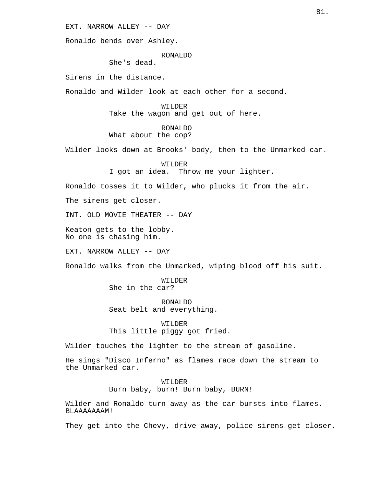EXT. NARROW ALLEY -- DAY

Ronaldo bends over Ashley.

## RONALDO

She's dead.

Sirens in the distance.

Ronaldo and Wilder look at each other for a second.

WILDER Take the wagon and get out of here.

# RONALDO

# What about the cop?

Wilder looks down at Brooks' body, then to the Unmarked car.

WILDER I got an idea. Throw me your lighter.

Ronaldo tosses it to Wilder, who plucks it from the air.

The sirens get closer.

INT. OLD MOVIE THEATER -- DAY

Keaton gets to the lobby. No one is chasing him.

EXT. NARROW ALLEY -- DAY

Ronaldo walks from the Unmarked, wiping blood off his suit.

WILDER She in the car?

RONALDO Seat belt and everything.

WILDER This little piggy got fried.

Wilder touches the lighter to the stream of gasoline.

He sings "Disco Inferno" as flames race down the stream to the Unmarked car.

> WILDER Burn baby, burn! Burn baby, BURN!

Wilder and Ronaldo turn away as the car bursts into flames. BLAAAAAAAM!

They get into the Chevy, drive away, police sirens get closer.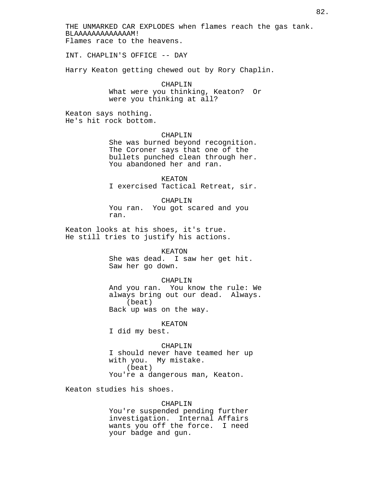THE UNMARKED CAR EXPLODES when flames reach the gas tank. BLAAAAAAAAAAAAAM! Flames race to the heavens.

INT. CHAPLIN'S OFFICE -- DAY

Harry Keaton getting chewed out by Rory Chaplin.

CHAPLIN What were you thinking, Keaton? Or were you thinking at all?

Keaton says nothing. He's hit rock bottom.

#### CHAPLIN

She was burned beyond recognition. The Coroner says that one of the bullets punched clean through her. You abandoned her and ran.

KEATON I exercised Tactical Retreat, sir.

CHAPLIN You ran. You got scared and you ran.

Keaton looks at his shoes, it's true. He still tries to justify his actions.

#### KEATON

She was dead. I saw her get hit. Saw her go down.

#### CHAPLIN

And you ran. You know the rule: We always bring out our dead. Always. (beat)

Back up was on the way.

#### KEATON

I did my best.

## CHAPLIN

I should never have teamed her up with you. My mistake. (beat) You're a dangerous man, Keaton.

Keaton studies his shoes.

#### CHAPLIN

You're suspended pending further investigation. Internal Affairs wants you off the force. I need your badge and gun.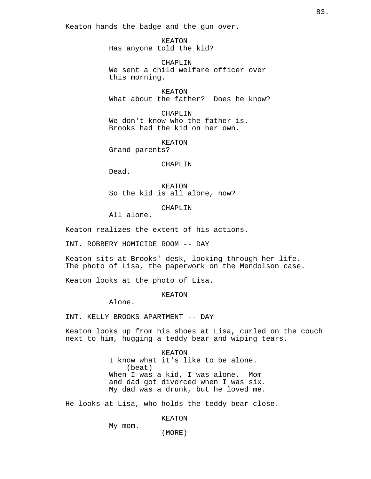Keaton hands the badge and the gun over.

KEATON Has anyone told the kid?

CHAPLIN We sent a child welfare officer over this morning.

KEATON What about the father? Does he know?

CHAPLIN We don't know who the father is. Brooks had the kid on her own.

KEATON Grand parents?

#### CHAPLIN

Dead.

KEATON So the kid is all alone, now?

CHAPLIN

All alone.

Keaton realizes the extent of his actions.

INT. ROBBERY HOMICIDE ROOM -- DAY

Keaton sits at Brooks' desk, looking through her life. The photo of Lisa, the paperwork on the Mendolson case.

Keaton looks at the photo of Lisa.

#### KEATON

Alone.

INT. KELLY BROOKS APARTMENT -- DAY

Keaton looks up from his shoes at Lisa, curled on the couch next to him, hugging a teddy bear and wiping tears.

> KEATON I know what it's like to be alone. (beat) When I was a kid, I was alone. Mom and dad got divorced when I was six. My dad was a drunk, but he loved me.

He looks at Lisa, who holds the teddy bear close.

KEATON

My mom.

(MORE)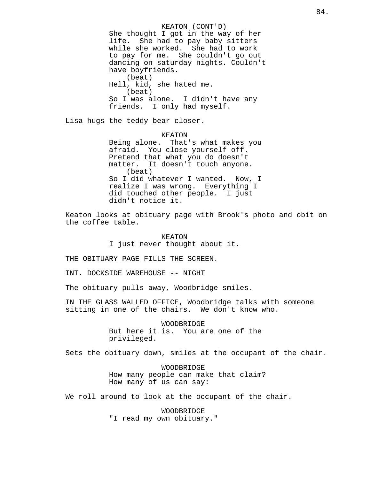KEATON (CONT'D) She thought I got in the way of her life. She had to pay baby sitters while she worked. She had to work to pay for me. She couldn't go out dancing on saturday nights. Couldn't have boyfriends. (beat) Hell, kid, she hated me. (beat) So I was alone. I didn't have any friends. I only had myself.

Lisa hugs the teddy bear closer.

KEATON Being alone. That's what makes you afraid. You close yourself off. Pretend that what you do doesn't matter. It doesn't touch anyone. (beat) So I did whatever I wanted. Now, I realize I was wrong. Everything I did touched other people. I just didn't notice it.

Keaton looks at obituary page with Brook's photo and obit on the coffee table.

> KEATON I just never thought about it.

THE OBITUARY PAGE FILLS THE SCREEN.

INT. DOCKSIDE WAREHOUSE -- NIGHT

The obituary pulls away, Woodbridge smiles.

IN THE GLASS WALLED OFFICE, Woodbridge talks with someone sitting in one of the chairs. We don't know who.

> WOODBRIDGE But here it is. You are one of the privileged.

Sets the obituary down, smiles at the occupant of the chair.

WOODBRIDGE How many people can make that claim? How many of us can say:

We roll around to look at the occupant of the chair.

WOODBRIDGE "I read my own obituary."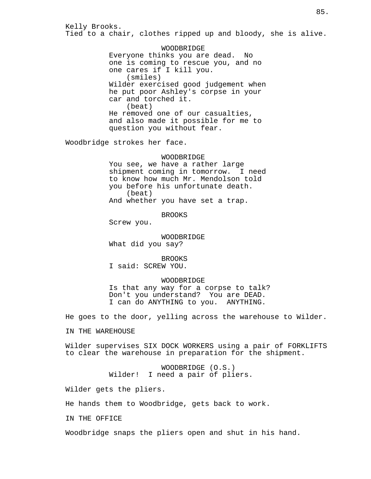Kelly Brooks. Tied to a chair, clothes ripped up and bloody, she is alive.

> WOODBRIDGE Everyone thinks you are dead. No one is coming to rescue you, and no one cares if I kill you. (smiles) Wilder exercised good judgement when he put poor Ashley's corpse in your car and torched it. (beat) He removed one of our casualties, and also made it possible for me to question you without fear.

Woodbridge strokes her face.

#### WOODBRIDGE

You see, we have a rather large shipment coming in tomorrow. I need to know how much Mr. Mendolson told you before his unfortunate death. (beat) And whether you have set a trap.

BROOKS

Screw you.

WOODBRIDGE What did you say?

BROOKS I said: SCREW YOU.

## WOODBRIDGE

Is that any way for a corpse to talk? Don't you understand? You are DEAD. I can do ANYTHING to you. ANYTHING.

He goes to the door, yelling across the warehouse to Wilder.

IN THE WAREHOUSE

Wilder supervises SIX DOCK WORKERS using a pair of FORKLIFTS to clear the warehouse in preparation for the shipment.

> WOODBRIDGE (O.S.) Wilder! I need a pair of pliers.

Wilder gets the pliers.

He hands them to Woodbridge, gets back to work.

IN THE OFFICE

Woodbridge snaps the pliers open and shut in his hand.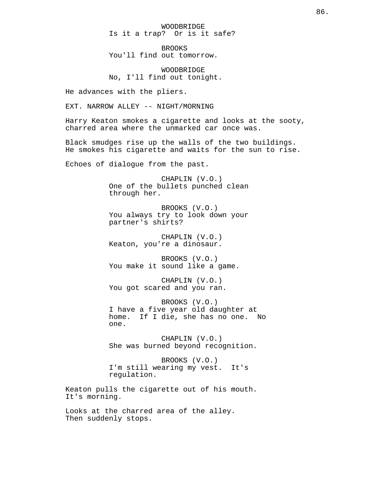WOODBRIDGE Is it a trap? Or is it safe?

BROOKS You'll find out tomorrow.

WOODBRIDGE No, I'll find out tonight.

He advances with the pliers.

EXT. NARROW ALLEY -- NIGHT/MORNING

Harry Keaton smokes a cigarette and looks at the sooty, charred area where the unmarked car once was.

Black smudges rise up the walls of the two buildings. He smokes his cigarette and waits for the sun to rise.

Echoes of dialogue from the past.

CHAPLIN (V.O.) One of the bullets punched clean through her.

BROOKS (V.O.) You always try to look down your partner's shirts?

CHAPLIN (V.O.) Keaton, you're a dinosaur.

BROOKS (V.O.) You make it sound like a game.

CHAPLIN (V.O.) You got scared and you ran.

BROOKS (V.O.) I have a five year old daughter at home. If I die, she has no one. No one.

CHAPLIN (V.O.) She was burned beyond recognition.

BROOKS (V.O.) I'm still wearing my vest. It's regulation.

Keaton pulls the cigarette out of his mouth. It's morning.

Looks at the charred area of the alley. Then suddenly stops.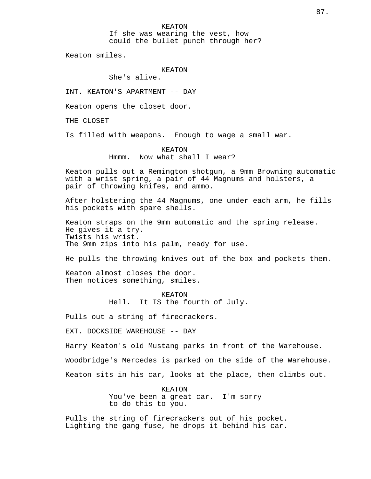KEATON If she was wearing the vest, how could the bullet punch through her?

Keaton smiles.

# KEATON

She's alive.

INT. KEATON'S APARTMENT -- DAY

Keaton opens the closet door.

THE CLOSET

Is filled with weapons. Enough to wage a small war.

## KEATON Hmmm. Now what shall I wear?

Keaton pulls out a Remington shotgun, a 9mm Browning automatic with a wrist spring, a pair of 44 Magnums and holsters, a pair of throwing knifes, and ammo.

After holstering the 44 Magnums, one under each arm, he fills his pockets with spare shells.

Keaton straps on the 9mm automatic and the spring release. He gives it a try. Twists his wrist. The 9mm zips into his palm, ready for use.

He pulls the throwing knives out of the box and pockets them.

Keaton almost closes the door. Then notices something, smiles.

> KEATON Hell. It IS the fourth of July.

Pulls out a string of firecrackers.

EXT. DOCKSIDE WAREHOUSE -- DAY

Harry Keaton's old Mustang parks in front of the Warehouse.

Woodbridge's Mercedes is parked on the side of the Warehouse.

Keaton sits in his car, looks at the place, then climbs out.

KEATON You've been a great car. I'm sorry to do this to you.

Pulls the string of firecrackers out of his pocket. Lighting the gang-fuse, he drops it behind his car.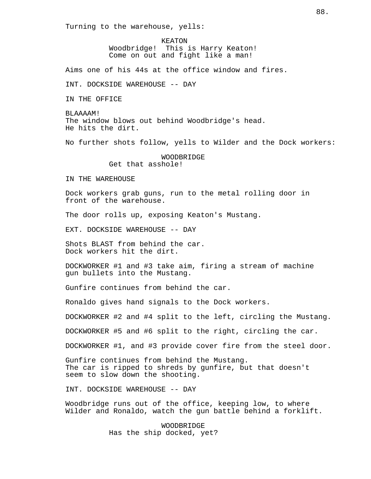Turning to the warehouse, yells:

KEATON Woodbridge! This is Harry Keaton! Come on out and fight like a man!

Aims one of his 44s at the office window and fires.

INT. DOCKSIDE WAREHOUSE -- DAY

IN THE OFFICE

BLAAAAM! The window blows out behind Woodbridge's head. He hits the dirt.

No further shots follow, yells to Wilder and the Dock workers:

WOODBRIDGE Get that asshole!

IN THE WAREHOUSE

Dock workers grab guns, run to the metal rolling door in front of the warehouse.

The door rolls up, exposing Keaton's Mustang.

EXT. DOCKSIDE WAREHOUSE -- DAY

Shots BLAST from behind the car. Dock workers hit the dirt.

DOCKWORKER #1 and #3 take aim, firing a stream of machine gun bullets into the Mustang.

Gunfire continues from behind the car.

Ronaldo gives hand signals to the Dock workers.

DOCKWORKER #2 and #4 split to the left, circling the Mustang.

DOCKWORKER #5 and #6 split to the right, circling the car.

DOCKWORKER #1, and #3 provide cover fire from the steel door.

Gunfire continues from behind the Mustang. The car is ripped to shreds by gunfire, but that doesn't seem to slow down the shooting.

INT. DOCKSIDE WAREHOUSE -- DAY

Woodbridge runs out of the office, keeping low, to where Wilder and Ronaldo, watch the gun battle behind a forklift.

> WOODBRIDGE Has the ship docked, yet?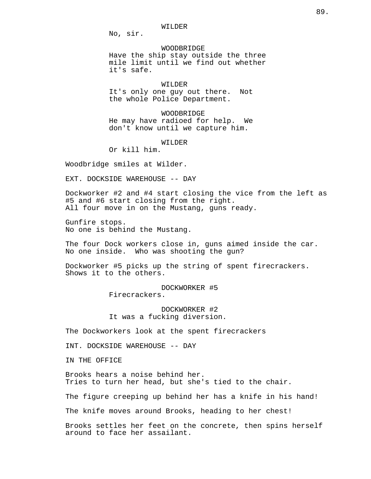WILDER

No, sir.

WOODBRIDGE Have the ship stay outside the three mile limit until we find out whether it's safe.

#### WILDER

It's only one guy out there. Not the whole Police Department.

WOODBRIDGE He may have radioed for help. We don't know until we capture him.

WILDER

Or kill him.

Woodbridge smiles at Wilder.

EXT. DOCKSIDE WAREHOUSE -- DAY

Dockworker #2 and #4 start closing the vice from the left as #5 and #6 start closing from the right. All four move in on the Mustang, guns ready.

Gunfire stops. No one is behind the Mustang.

The four Dock workers close in, guns aimed inside the car. No one inside. Who was shooting the gun?

Dockworker #5 picks up the string of spent firecrackers. Shows it to the others.

> DOCKWORKER #5 Firecrackers.

DOCKWORKER #2 It was a fucking diversion.

The Dockworkers look at the spent firecrackers

INT. DOCKSIDE WAREHOUSE -- DAY

IN THE OFFICE

Brooks hears a noise behind her. Tries to turn her head, but she's tied to the chair.

The figure creeping up behind her has a knife in his hand!

The knife moves around Brooks, heading to her chest!

Brooks settles her feet on the concrete, then spins herself around to face her assailant.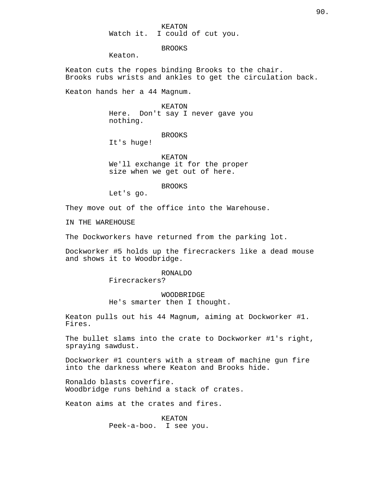KEATON Watch it. I could of cut you.

BROOKS

Keaton.

Keaton cuts the ropes binding Brooks to the chair. Brooks rubs wrists and ankles to get the circulation back.

Keaton hands her a 44 Magnum.

## KEATON

Here. Don't say I never gave you nothing.

BROOKS

It's huge!

KEATON We'll exchange it for the proper size when we get out of here.

BROOKS

Let's go.

They move out of the office into the Warehouse.

IN THE WAREHOUSE

The Dockworkers have returned from the parking lot.

Dockworker #5 holds up the firecrackers like a dead mouse and shows it to Woodbridge.

## RONALDO

Firecrackers?

WOODBRIDGE He's smarter then I thought.

Keaton pulls out his 44 Magnum, aiming at Dockworker #1. Fires.

The bullet slams into the crate to Dockworker #1's right, spraying sawdust.

Dockworker #1 counters with a stream of machine gun fire into the darkness where Keaton and Brooks hide.

Ronaldo blasts coverfire. Woodbridge runs behind a stack of crates.

Keaton aims at the crates and fires.

KEATON Peek-a-boo. I see you.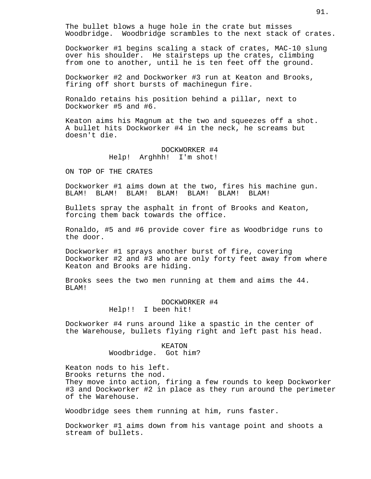The bullet blows a huge hole in the crate but misses Woodbridge. Woodbridge scrambles to the next stack of crates.

Dockworker #1 begins scaling a stack of crates, MAC-10 slung over his shoulder. He stairsteps up the crates, climbing from one to another, until he is ten feet off the ground.

Dockworker #2 and Dockworker #3 run at Keaton and Brooks, firing off short bursts of machinegun fire.

Ronaldo retains his position behind a pillar, next to Dockworker #5 and #6.

Keaton aims his Magnum at the two and squeezes off a shot. A bullet hits Dockworker #4 in the neck, he screams but doesn't die.

# DOCKWORKER #4 Help! Arghhh! I'm shot!

ON TOP OF THE CRATES

Dockworker #1 aims down at the two, fires his machine gun. BLAM! BLAM! BLAM! BLAM! BLAM! BLAM! BLAM!

Bullets spray the asphalt in front of Brooks and Keaton, forcing them back towards the office.

Ronaldo, #5 and #6 provide cover fire as Woodbridge runs to the door.

Dockworker #1 sprays another burst of fire, covering Dockworker #2 and #3 who are only forty feet away from where Keaton and Brooks are hiding.

Brooks sees the two men running at them and aims the 44. BLAM!

# DOCKWORKER #4 Help!! I been hit!

Dockworker #4 runs around like a spastic in the center of the Warehouse, bullets flying right and left past his head.

## KEATON Woodbridge. Got him?

Keaton nods to his left. Brooks returns the nod. They move into action, firing a few rounds to keep Dockworker #3 and Dockworker #2 in place as they run around the perimeter of the Warehouse.

Woodbridge sees them running at him, runs faster.

Dockworker #1 aims down from his vantage point and shoots a stream of bullets.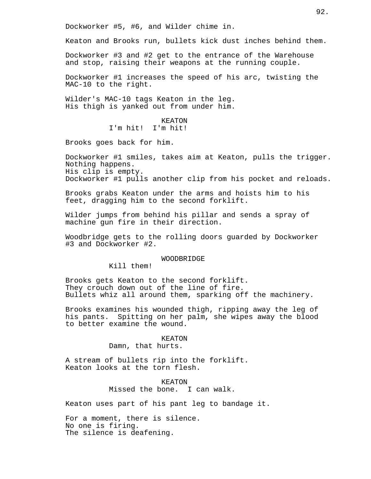Dockworker #5, #6, and Wilder chime in.

Keaton and Brooks run, bullets kick dust inches behind them.

Dockworker #3 and #2 get to the entrance of the Warehouse and stop, raising their weapons at the running couple.

Dockworker #1 increases the speed of his arc, twisting the MAC-10 to the right.

Wilder's MAC-10 tags Keaton in the leg. His thigh is yanked out from under him.

> KEATON I'm hit! I'm hit!

Brooks goes back for him.

Dockworker #1 smiles, takes aim at Keaton, pulls the trigger. Nothing happens. His clip is empty. Dockworker #1 pulls another clip from his pocket and reloads.

Brooks grabs Keaton under the arms and hoists him to his feet, dragging him to the second forklift.

Wilder jumps from behind his pillar and sends a spray of machine gun fire in their direction.

Woodbridge gets to the rolling doors guarded by Dockworker #3 and Dockworker #2.

## WOODBRIDGE

Kill them!

Brooks gets Keaton to the second forklift. They crouch down out of the line of fire. Bullets whiz all around them, sparking off the machinery.

Brooks examines his wounded thigh, ripping away the leg of his pants. Spitting on her palm, she wipes away the blood to better examine the wound.

> KEATON Damn, that hurts.

A stream of bullets rip into the forklift. Keaton looks at the torn flesh.

> KEATON Missed the bone. I can walk.

Keaton uses part of his pant leg to bandage it.

For a moment, there is silence. No one is firing. The silence is deafening.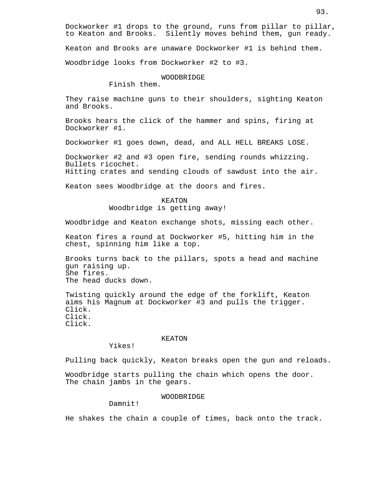Dockworker #1 drops to the ground, runs from pillar to pillar, to Keaton and Brooks. Silently moves behind them, gun ready. Keaton and Brooks are unaware Dockworker #1 is behind them. Woodbridge looks from Dockworker #2 to #3.

WOODBRIDGE

Finish them.

They raise machine guns to their shoulders, sighting Keaton and Brooks.

Brooks hears the click of the hammer and spins, firing at Dockworker #1.

Dockworker #1 goes down, dead, and ALL HELL BREAKS LOSE.

Dockworker #2 and #3 open fire, sending rounds whizzing. Bullets ricochet. Hitting crates and sending clouds of sawdust into the air.

Keaton sees Woodbridge at the doors and fires.

KEATON Woodbridge is getting away!

Woodbridge and Keaton exchange shots, missing each other.

Keaton fires a round at Dockworker #5, hitting him in the chest, spinning him like a top.

Brooks turns back to the pillars, spots a head and machine gun raising up. She fires. The head ducks down.

Twisting quickly around the edge of the forklift, Keaton aims his Magnum at Dockworker #3 and pulls the trigger. Click. Click. Click.

# KEATON

Yikes!

Pulling back quickly, Keaton breaks open the gun and reloads.

Woodbridge starts pulling the chain which opens the door. The chain jambs in the gears.

## WOODBRIDGE

Damnit!

He shakes the chain a couple of times, back onto the track.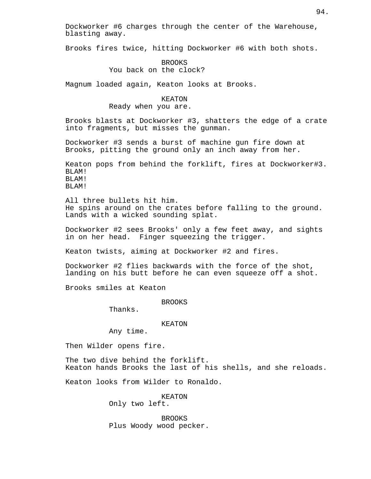Dockworker #6 charges through the center of the Warehouse, blasting away.

Brooks fires twice, hitting Dockworker #6 with both shots.

BROOKS You back on the clock?

Magnum loaded again, Keaton looks at Brooks.

#### KEATON

Ready when you are.

Brooks blasts at Dockworker #3, shatters the edge of a crate into fragments, but misses the gunman.

Dockworker #3 sends a burst of machine gun fire down at Brooks, pitting the ground only an inch away from her.

Keaton pops from behind the forklift, fires at Dockworker#3. BLAM! BLAM! BLAM!

All three bullets hit him. He spins around on the crates before falling to the ground. Lands with a wicked sounding splat.

Dockworker #2 sees Brooks' only a few feet away, and sights in on her head. Finger squeezing the trigger.

Keaton twists, aiming at Dockworker #2 and fires.

Dockworker #2 flies backwards with the force of the shot, landing on his butt before he can even squeeze off a shot.

Brooks smiles at Keaton

BROOKS

Thanks.

#### KEATON

Any time.

Then Wilder opens fire.

The two dive behind the forklift. Keaton hands Brooks the last of his shells, and she reloads.

Keaton looks from Wilder to Ronaldo.

KEATON Only two left.

BROOKS Plus Woody wood pecker.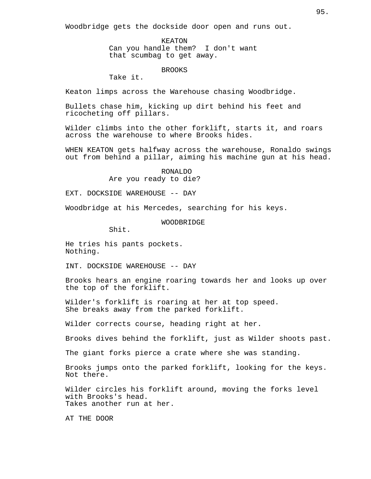Woodbridge gets the dockside door open and runs out.

KEATON Can you handle them? I don't want that scumbag to get away.

## BROOKS

Take it.

Keaton limps across the Warehouse chasing Woodbridge.

Bullets chase him, kicking up dirt behind his feet and ricocheting off pillars.

Wilder climbs into the other forklift, starts it, and roars across the warehouse to where Brooks hides.

WHEN KEATON gets halfway across the warehouse, Ronaldo swings out from behind a pillar, aiming his machine gun at his head.

> RONALDO Are you ready to die?

EXT. DOCKSIDE WAREHOUSE -- DAY

Woodbridge at his Mercedes, searching for his keys.

## WOODBRIDGE

Shit.

He tries his pants pockets. Nothing.

INT. DOCKSIDE WAREHOUSE -- DAY

Brooks hears an engine roaring towards her and looks up over the top of the forklift.

Wilder's forklift is roaring at her at top speed. She breaks away from the parked forklift.

Wilder corrects course, heading right at her.

Brooks dives behind the forklift, just as Wilder shoots past.

The giant forks pierce a crate where she was standing.

Brooks jumps onto the parked forklift, looking for the keys. Not there.

Wilder circles his forklift around, moving the forks level with Brooks's head. Takes another run at her.

AT THE DOOR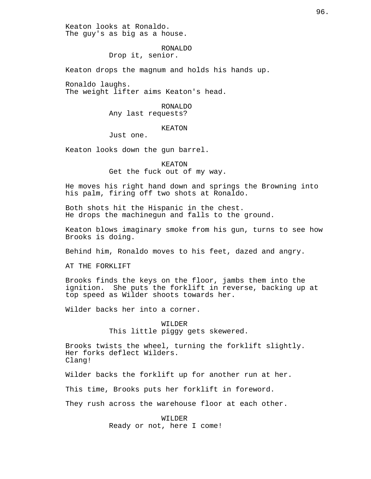Keaton looks at Ronaldo. The guy's as big as a house.

#### RONALDO

Drop it, senior.

Keaton drops the magnum and holds his hands up.

Ronaldo laughs. The weight lifter aims Keaton's head.

#### RONALDO

Any last requests?

#### KEATON

Just one.

Keaton looks down the gun barrel.

KEATON Get the fuck out of my way.

He moves his right hand down and springs the Browning into his palm, firing off two shots at Ronaldo.

Both shots hit the Hispanic in the chest. He drops the machinegun and falls to the ground.

Keaton blows imaginary smoke from his gun, turns to see how Brooks is doing.

Behind him, Ronaldo moves to his feet, dazed and angry.

AT THE FORKLIFT

Brooks finds the keys on the floor, jambs them into the ignition. She puts the forklift in reverse, backing up at top speed as Wilder shoots towards her.

Wilder backs her into a corner.

WILDER This little piggy gets skewered.

Brooks twists the wheel, turning the forklift slightly. Her forks deflect Wilders. Clang!

Wilder backs the forklift up for another run at her.

This time, Brooks puts her forklift in foreword.

They rush across the warehouse floor at each other.

WILDER Ready or not, here I come!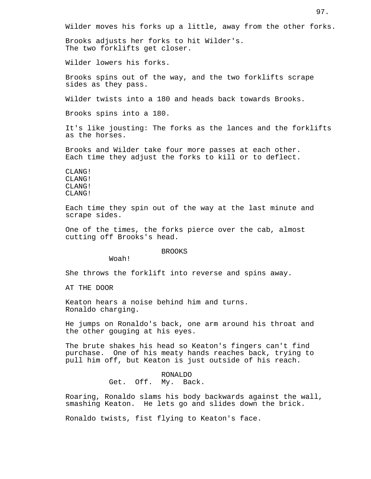Wilder moves his forks up a little, away from the other forks.

Brooks adjusts her forks to hit Wilder's. The two forklifts get closer.

Wilder lowers his forks.

Brooks spins out of the way, and the two forklifts scrape sides as they pass.

Wilder twists into a 180 and heads back towards Brooks.

Brooks spins into a 180.

It's like jousting: The forks as the lances and the forklifts as the horses.

Brooks and Wilder take four more passes at each other. Each time they adjust the forks to kill or to deflect.

CLANG! CLANG! CLANG! CLANG!

Each time they spin out of the way at the last minute and scrape sides.

One of the times, the forks pierce over the cab, almost cutting off Brooks's head.

#### BROOKS

Woah!

She throws the forklift into reverse and spins away.

AT THE DOOR

Keaton hears a noise behind him and turns. Ronaldo charging.

He jumps on Ronaldo's back, one arm around his throat and the other gouging at his eyes.

The brute shakes his head so Keaton's fingers can't find purchase. One of his meaty hands reaches back, trying to pull him off, but Keaton is just outside of his reach.

> RONALDO Get. Off. My. Back.

Roaring, Ronaldo slams his body backwards against the wall, smashing Keaton. He lets go and slides down the brick.

Ronaldo twists, fist flying to Keaton's face.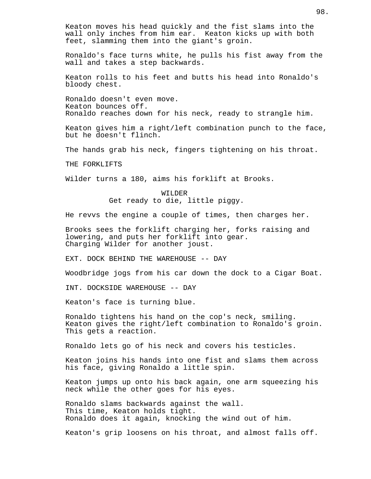Keaton moves his head quickly and the fist slams into the wall only inches from him ear. Keaton kicks up with both feet, slamming them into the giant's groin.

Ronaldo's face turns white, he pulls his fist away from the wall and takes a step backwards.

Keaton rolls to his feet and butts his head into Ronaldo's bloody chest.

Ronaldo doesn't even move. Keaton bounces off. Ronaldo reaches down for his neck, ready to strangle him.

Keaton gives him a right/left combination punch to the face, but he doesn't flinch.

The hands grab his neck, fingers tightening on his throat.

THE FORKLIFTS

Wilder turns a 180, aims his forklift at Brooks.

WILDER Get ready to die, little piggy.

He revvs the engine a couple of times, then charges her.

Brooks sees the forklift charging her, forks raising and lowering, and puts her forklift into gear. Charging Wilder for another joust.

EXT. DOCK BEHIND THE WAREHOUSE -- DAY

Woodbridge jogs from his car down the dock to a Cigar Boat.

INT. DOCKSIDE WAREHOUSE -- DAY

Keaton's face is turning blue.

Ronaldo tightens his hand on the cop's neck, smiling. Keaton gives the right/left combination to Ronaldo's groin. This gets a reaction.

Ronaldo lets go of his neck and covers his testicles.

Keaton joins his hands into one fist and slams them across his face, giving Ronaldo a little spin.

Keaton jumps up onto his back again, one arm squeezing his neck while the other goes for his eyes.

Ronaldo slams backwards against the wall. This time, Keaton holds tight. Ronaldo does it again, knocking the wind out of him.

Keaton's grip loosens on his throat, and almost falls off.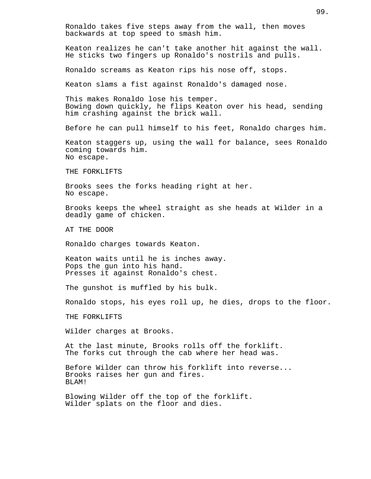Ronaldo takes five steps away from the wall, then moves backwards at top speed to smash him. Keaton realizes he can't take another hit against the wall. He sticks two fingers up Ronaldo's nostrils and pulls. Ronaldo screams as Keaton rips his nose off, stops. Keaton slams a fist against Ronaldo's damaged nose. This makes Ronaldo lose his temper. Bowing down quickly, he flips Keaton over his head, sending him crashing against the brick wall. Before he can pull himself to his feet, Ronaldo charges him. Keaton staggers up, using the wall for balance, sees Ronaldo coming towards him. No escape. THE FORKLIFTS Brooks sees the forks heading right at her. No escape. Brooks keeps the wheel straight as she heads at Wilder in a deadly game of chicken. AT THE DOOR Ronaldo charges towards Keaton. Keaton waits until he is inches away. Pops the gun into his hand. Presses it against Ronaldo's chest. The gunshot is muffled by his bulk. Ronaldo stops, his eyes roll up, he dies, drops to the floor. THE FORKLIFTS Wilder charges at Brooks. At the last minute, Brooks rolls off the forklift. The forks cut through the cab where her head was. Before Wilder can throw his forklift into reverse... Brooks raises her gun and fires. BLAM! Blowing Wilder off the top of the forklift. Wilder splats on the floor and dies.

99.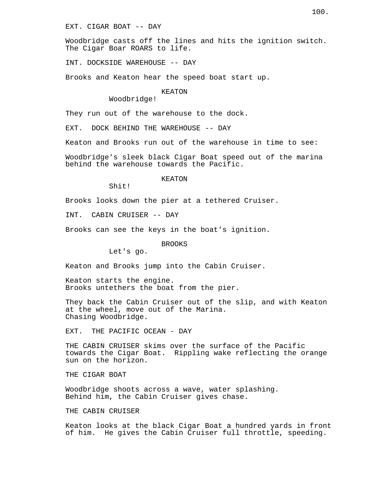EXT. CIGAR BOAT -- DAY

Woodbridge casts off the lines and hits the ignition switch. The Cigar Boar ROARS to life.

INT. DOCKSIDE WAREHOUSE -- DAY

Brooks and Keaton hear the speed boat start up.

## KEATON

Woodbridge!

They run out of the warehouse to the dock.

EXT. DOCK BEHIND THE WAREHOUSE -- DAY

Keaton and Brooks run out of the warehouse in time to see:

Woodbridge's sleek black Cigar Boat speed out of the marina behind the warehouse towards the Pacific.

KEATON

Shit!

Brooks looks down the pier at a tethered Cruiser.

INT. CABIN CRUISER -- DAY

Brooks can see the keys in the boat's ignition.

#### BROOKS

Let's go.

Keaton and Brooks jump into the Cabin Cruiser.

Keaton starts the engine. Brooks untethers the boat from the pier.

They back the Cabin Cruiser out of the slip, and with Keaton at the wheel, move out of the Marina. Chasing Woodbridge.

EXT. THE PACIFIC OCEAN - DAY

THE CABIN CRUISER skims over the surface of the Pacific towards the Cigar Boat. Rippling wake reflecting the orange sun on the horizon.

THE CIGAR BOAT

Woodbridge shoots across a wave, water splashing. Behind him, the Cabin Cruiser gives chase.

THE CABIN CRUISER

Keaton looks at the black Cigar Boat a hundred yards in front of him. He gives the Cabin Cruiser full throttle, speeding.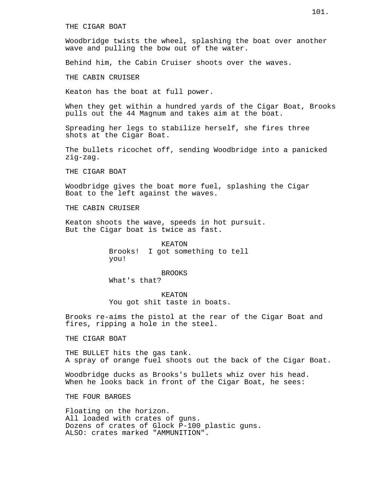Woodbridge twists the wheel, splashing the boat over another wave and pulling the bow out of the water.

Behind him, the Cabin Cruiser shoots over the waves.

THE CABIN CRUISER

Keaton has the boat at full power.

When they get within a hundred yards of the Cigar Boat, Brooks pulls out the 44 Magnum and takes aim at the boat.

Spreading her legs to stabilize herself, she fires three shots at the Cigar Boat.

The bullets ricochet off, sending Woodbridge into a panicked zig-zag.

THE CIGAR BOAT

Woodbridge gives the boat more fuel, splashing the Cigar Boat to the left against the waves.

THE CABIN CRUISER

Keaton shoots the wave, speeds in hot pursuit. But the Cigar boat is twice as fast.

> KEATON Brooks! I got something to tell you!

> > BROOKS

What's that?

KEATON You got shit taste in boats.

Brooks re-aims the pistol at the rear of the Cigar Boat and fires, ripping a hole in the steel.

THE CIGAR BOAT

THE BULLET hits the gas tank. A spray of orange fuel shoots out the back of the Cigar Boat.

Woodbridge ducks as Brooks's bullets whiz over his head. When he looks back in front of the Cigar Boat, he sees:

THE FOUR BARGES

Floating on the horizon. All loaded with crates of guns. Dozens of crates of Glock P-100 plastic guns. ALSO: crates marked "AMMUNITION".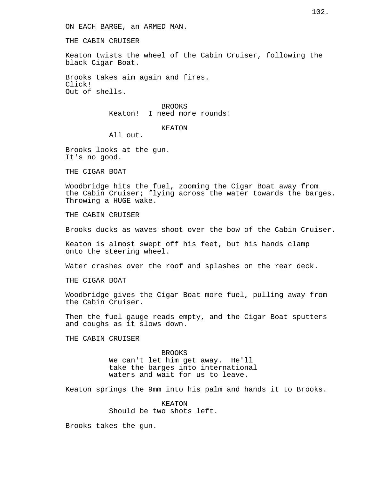THE CABIN CRUISER

Keaton twists the wheel of the Cabin Cruiser, following the black Cigar Boat.

Brooks takes aim again and fires. Click! Out of shells.

> BROOKS Keaton! I need more rounds!

## KEATON

All out.

Brooks looks at the gun. It's no good.

THE CIGAR BOAT

Woodbridge hits the fuel, zooming the Cigar Boat away from the Cabin Cruiser; flying across the water towards the barges. Throwing a HUGE wake.

THE CABIN CRUISER

Brooks ducks as waves shoot over the bow of the Cabin Cruiser.

Keaton is almost swept off his feet, but his hands clamp onto the steering wheel.

Water crashes over the roof and splashes on the rear deck.

THE CIGAR BOAT

Woodbridge gives the Cigar Boat more fuel, pulling away from the Cabin Cruiser.

Then the fuel gauge reads empty, and the Cigar Boat sputters and coughs as it slows down.

THE CABIN CRUISER

BROOKS We can't let him get away. He'll take the barges into international waters and wait for us to leave.

Keaton springs the 9mm into his palm and hands it to Brooks.

KEATON Should be two shots left.

Brooks takes the gun.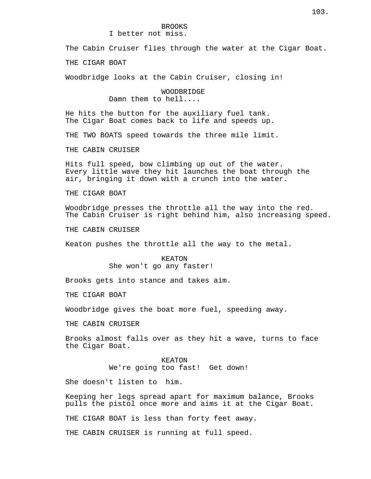# BROOKS

I better not miss.

The Cabin Cruiser flies through the water at the Cigar Boat.

THE CIGAR BOAT

Woodbridge looks at the Cabin Cruiser, closing in!

WOODBRIDGE Damn them to hell....

He hits the button for the auxiliary fuel tank. The Cigar Boat comes back to life and speeds up.

THE TWO BOATS speed towards the three mile limit.

THE CABIN CRUISER

Hits full speed, bow climbing up out of the water. Every little wave they hit launches the boat through the air, bringing it down with a crunch into the water.

THE CIGAR BOAT

Woodbridge presses the throttle all the way into the red. The Cabin Cruiser is right behind him, also increasing speed.

THE CABIN CRUISER

Keaton pushes the throttle all the way to the metal.

KEATON She won't go any faster!

Brooks gets into stance and takes aim.

THE CIGAR BOAT

Woodbridge gives the boat more fuel, speeding away.

THE CABIN CRUISER

Brooks almost falls over as they hit a wave, turns to face the Cigar Boat.

> KEATON We're going too fast! Get down!

She doesn't listen to him.

Keeping her legs spread apart for maximum balance, Brooks pulls the pistol once more and aims it at the Cigar Boat.

THE CIGAR BOAT is less than forty feet away.

THE CABIN CRUISER is running at full speed.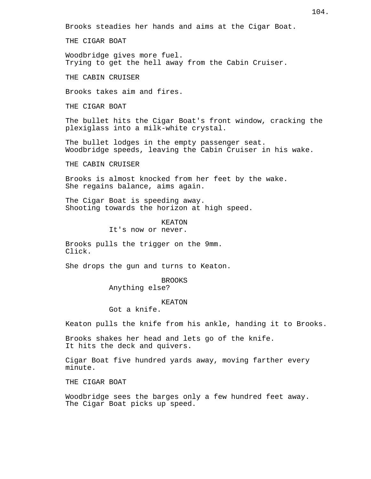THE CIGAR BOAT

Woodbridge gives more fuel. Trying to get the hell away from the Cabin Cruiser.

THE CABIN CRUISER

Brooks takes aim and fires.

THE CIGAR BOAT

The bullet hits the Cigar Boat's front window, cracking the plexiglass into a milk-white crystal.

The bullet lodges in the empty passenger seat. Woodbridge speeds, leaving the Cabin Cruiser in his wake.

THE CABIN CRUISER

Brooks is almost knocked from her feet by the wake. She regains balance, aims again.

The Cigar Boat is speeding away. Shooting towards the horizon at high speed.

> KEATON It's now or never.

Brooks pulls the trigger on the 9mm. Click.

She drops the gun and turns to Keaton.

BROOKS Anything else?

KEATON

Got a knife.

Keaton pulls the knife from his ankle, handing it to Brooks.

Brooks shakes her head and lets go of the knife. It hits the deck and quivers.

Cigar Boat five hundred yards away, moving farther every minute.

THE CIGAR BOAT

Woodbridge sees the barges only a few hundred feet away. The Cigar Boat picks up speed.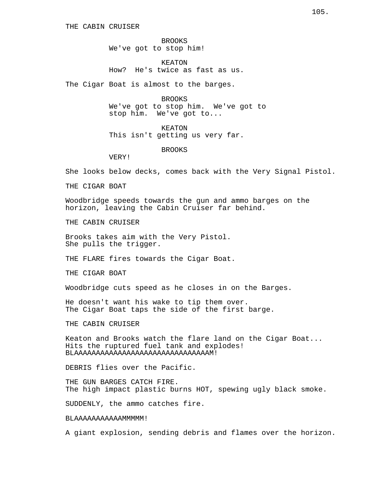BROOKS We've got to stop him!

KEATON How? He's twice as fast as us.

The Cigar Boat is almost to the barges.

BROOKS We've got to stop him. We've got to stop him. We've got to...

KEATON This isn't getting us very far.

BROOKS

VERY!

She looks below decks, comes back with the Very Signal Pistol.

THE CIGAR BOAT

Woodbridge speeds towards the gun and ammo barges on the horizon, leaving the Cabin Cruiser far behind.

THE CABIN CRUISER

Brooks takes aim with the Very Pistol. She pulls the trigger.

THE FLARE fires towards the Cigar Boat.

THE CIGAR BOAT

Woodbridge cuts speed as he closes in on the Barges.

He doesn't want his wake to tip them over. The Cigar Boat taps the side of the first barge.

THE CABIN CRUISER

Keaton and Brooks watch the flare land on the Cigar Boat... Hits the ruptured fuel tank and explodes! BLAAAAAAAAAAAAAAAAAAAAAAAAAAAAAAAM!

DEBRIS flies over the Pacific.

THE GUN BARGES CATCH FIRE. The high impact plastic burns HOT, spewing ugly black smoke.

SUDDENLY, the ammo catches fire.

BLAAAAAAAAAAAMMMMM!

A giant explosion, sending debris and flames over the horizon.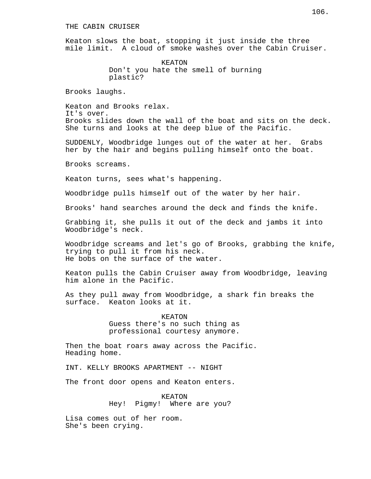Keaton slows the boat, stopping it just inside the three mile limit. A cloud of smoke washes over the Cabin Cruiser.

> KEATON Don't you hate the smell of burning plastic?

Brooks laughs.

Keaton and Brooks relax. It's over. Brooks slides down the wall of the boat and sits on the deck. She turns and looks at the deep blue of the Pacific.

SUDDENLY, Woodbridge lunges out of the water at her. Grabs her by the hair and begins pulling himself onto the boat.

Brooks screams.

Keaton turns, sees what's happening.

Woodbridge pulls himself out of the water by her hair.

Brooks' hand searches around the deck and finds the knife.

Grabbing it, she pulls it out of the deck and jambs it into Woodbridge's neck.

Woodbridge screams and let's go of Brooks, grabbing the knife, trying to pull it from his neck. He bobs on the surface of the water.

Keaton pulls the Cabin Cruiser away from Woodbridge, leaving him alone in the Pacific.

As they pull away from Woodbridge, a shark fin breaks the surface. Keaton looks at it.

> KEATON Guess there's no such thing as professional courtesy anymore.

Then the boat roars away across the Pacific. Heading home.

INT. KELLY BROOKS APARTMENT -- NIGHT

The front door opens and Keaton enters.

KEATON Hey! Pigmy! Where are you?

Lisa comes out of her room. She's been crying.